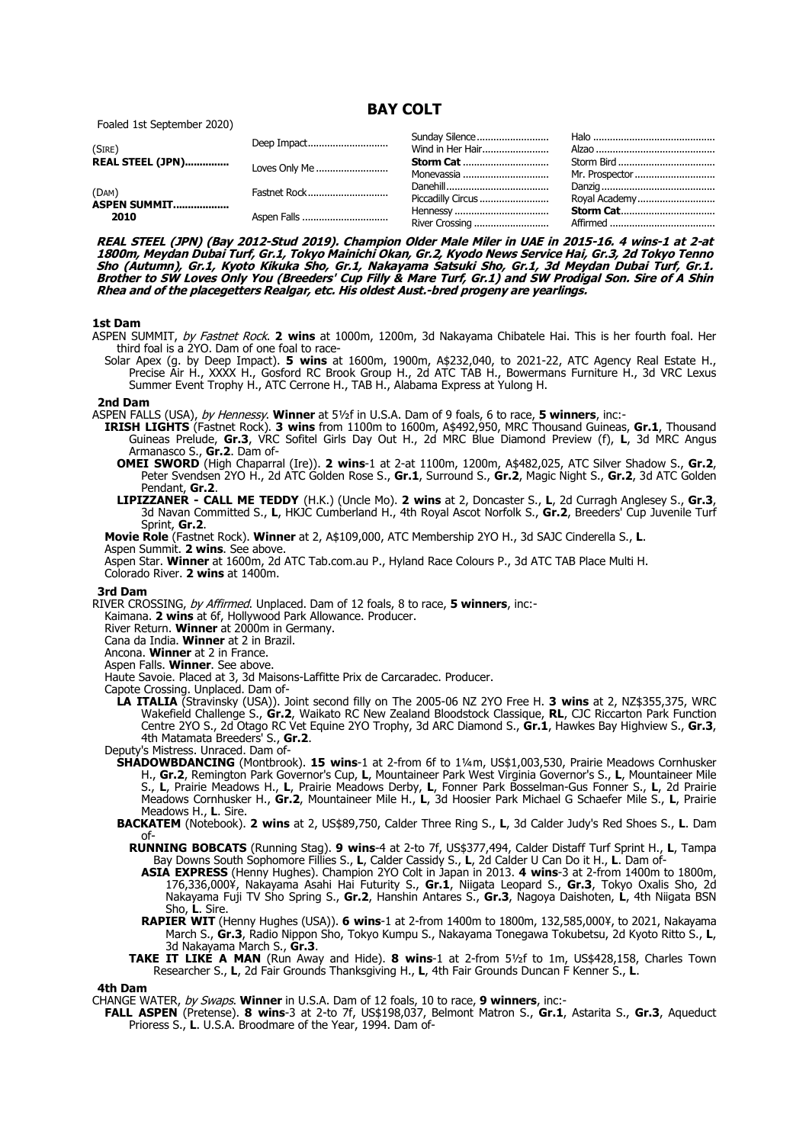**BAY COLT**

Foaled 1st September 2020)

| (SIRE)                  | Deep Impact   | Wind in Her Hair                |                  |
|-------------------------|---------------|---------------------------------|------------------|
| <b>REAL STEEL (JPN)</b> | Loves Only Me | <b>Storm Cat </b><br>Monevassia | Mr. Prospector   |
| (DAM)                   | Fastnet Rock  | Piccadilly Circus               | Royal Academy    |
| ASPEN SUMMIT<br>2010    | Aspen Falls   |                                 | <b>Storm Cat</b> |

**REAL STEEL (JPN) (Bay 2012-Stud 2019). Champion Older Male Miler in UAE in 2015-16. 4 wins-1 at 2-at 1800m, Meydan Dubai Turf, Gr.1, Tokyo Mainichi Okan, Gr.2, Kyodo News Service Hai, Gr.3, 2d Tokyo Tenno Sho (Autumn), Gr.1, Kyoto Kikuka Sho, Gr.1, Nakayama Satsuki Sho, Gr.1, 3d Meydan Dubai Turf, Gr.1. Brother to SW Loves Only You (Breeders' Cup Filly & Mare Turf, Gr.1) and SW Prodigal Son. Sire of A Shin Rhea and of the placegetters Realgar, etc. His oldest Aust.-bred progeny are yearlings.**

### **1st Dam**

- ASPEN SUMMIT, by Fastnet Rock. **2 wins** at 1000m, 1200m, 3d Nakayama Chibatele Hai. This is her fourth foal. Her third foal is a 2YO. Dam of one foal to race-
	- Solar Apex (g. by Deep Impact). **5 wins** at 1600m, 1900m, A\$232,040, to 2021-22, ATC Agency Real Estate H., Precise Air H., XXXX H., Gosford RC Brook Group H., 2d ATC TAB H., Bowermans Furniture H., 3d VRC Lexus Summer Event Trophy H., ATC Cerrone H., TAB H., Alabama Express at Yulong H.

#### **2nd Dam**

ASPEN FALLS (USA), by Hennessy. **Winner** at 5½f in U.S.A. Dam of 9 foals, 6 to race, **5 winners**, inc:-

- **IRISH LIGHTS** (Fastnet Rock). **3 wins** from 1100m to 1600m, A\$492,950, MRC Thousand Guineas, **Gr.1**, Thousand Guineas Prelude, **Gr.3**, VRC Sofitel Girls Day Out H., 2d MRC Blue Diamond Preview (f), **L**, 3d MRC Angus Armanasco S., **Gr.2**. Dam of-
	- **OMEI SWORD** (High Chaparral (Ire)). **2 wins**-1 at 2-at 1100m, 1200m, A\$482,025, ATC Silver Shadow S., **Gr.2**, Peter Svendsen 2YO H., 2d ATC Golden Rose S., **Gr.1**, Surround S., **Gr.2**, Magic Night S., **Gr.2**, 3d ATC Golden Pendant, **Gr.2**.
	- **LIPIZZANER CALL ME TEDDY** (H.K.) (Uncle Mo). **2 wins** at 2, Doncaster S., **L**, 2d Curragh Anglesey S., **Gr.3**, 3d Navan Committed S., **L**, HKJC Cumberland H., 4th Royal Ascot Norfolk S., **Gr.2**, Breeders' Cup Juvenile Turf Sprint, **Gr.2**.

**Movie Role** (Fastnet Rock). **Winner** at 2, A\$109,000, ATC Membership 2YO H., 3d SAJC Cinderella S., **L**. Aspen Summit. **2 wins**. See above.

Aspen Star. **Winner** at 1600m, 2d ATC Tab.com.au P., Hyland Race Colours P., 3d ATC TAB Place Multi H. Colorado River. **2 wins** at 1400m.

## **3rd Dam**

RIVER CROSSING, by Affirmed. Unplaced. Dam of 12 foals, 8 to race, **5 winners**, inc:-

Kaimana. **2 wins** at 6f, Hollywood Park Allowance. Producer.

River Return. **Winner** at 2000m in Germany.

- Cana da India. **Winner** at 2 in Brazil.
- Ancona. **Winner** at 2 in France.
- Aspen Falls. **Winner**. See above.
- Haute Savoie. Placed at 3, 3d Maisons-Laffitte Prix de Carcaradec. Producer.

Capote Crossing. Unplaced. Dam of-

**LA ITALIA** (Stravinsky (USA)). Joint second filly on The 2005-06 NZ 2YO Free H. **3 wins** at 2, NZ\$355,375, WRC Wakefield Challenge S., **Gr.2**, Waikato RC New Zealand Bloodstock Classique, **RL**, CJC Riccarton Park Function Centre 2YO S., 2d Otago RC Vet Equine 2YO Trophy, 3d ARC Diamond S., **Gr.1**, Hawkes Bay Highview S., **Gr.3**, 4th Matamata Breeders' S., **Gr.2**.

Deputy's Mistress. Unraced. Dam of-

- **SHADOWBDANCING** (Montbrook). **15 wins**-1 at 2-from 6f to 1¼m, US\$1,003,530, Prairie Meadows Cornhusker H., **Gr.2**, Remington Park Governor's Cup, **L**, Mountaineer Park West Virginia Governor's S., **L**, Mountaineer Mile S., **L**, Prairie Meadows H., **L**, Prairie Meadows Derby, **L**, Fonner Park Bosselman-Gus Fonner S., **L**, 2d Prairie Meadows Cornhusker H., **Gr.2**, Mountaineer Mile H., **L**, 3d Hoosier Park Michael G Schaefer Mile S., **L**, Prairie Meadows H., **L**. Sire.
- **BACKATEM** (Notebook). **2 wins** at 2, US\$89,750, Calder Three Ring S., **L**, 3d Calder Judy's Red Shoes S., **L**. Dam  $\cap$ f
	- **RUNNING BOBCATS** (Running Stag). **9 wins**-4 at 2-to 7f, US\$377,494, Calder Distaff Turf Sprint H., **L**, Tampa Bay Downs South Sophomore Fillies S., **L**, Calder Cassidy S., **L**, 2d Calder U Can Do it H., **L**. Dam of-
		- **ASIA EXPRESS** (Henny Hughes). Champion 2YO Colt in Japan in 2013. **4 wins**-3 at 2-from 1400m to 1800m, 176,336,000¥, Nakayama Asahi Hai Futurity S., **Gr.1**, Niigata Leopard S., **Gr.3**, Tokyo Oxalis Sho, 2d Nakayama Fuji TV Sho Spring S., **Gr.2**, Hanshin Antares S., **Gr.3**, Nagoya Daishoten, **L**, 4th Niigata BSN Sho, **L**. Sire.
		- **RAPIER WIT** (Henny Hughes (USA)). **6 wins**-1 at 2-from 1400m to 1800m, 132,585,000¥, to 2021, Nakayama March S., **Gr.3**, Radio Nippon Sho, Tokyo Kumpu S., Nakayama Tonegawa Tokubetsu, 2d Kyoto Ritto S., **L**, 3d Nakayama March S., **Gr.3**.
	- **TAKE IT LIKE A MAN** (Run Away and Hide). **8 wins**-1 at 2-from 5½f to 1m, US\$428,158, Charles Town Researcher S., **L**, 2d Fair Grounds Thanksgiving H., **L**, 4th Fair Grounds Duncan F Kenner S., **L**.

# **4th Dam**

CHANGE WATER, by Swaps. **Winner** in U.S.A. Dam of 12 foals, 10 to race, **9 winners**, inc:-

**FALL ASPEN** (Pretense). **8 wins**-3 at 2-to 7f, US\$198,037, Belmont Matron S., **Gr.1**, Astarita S., **Gr.3**, Aqueduct Prioress S., **L**. U.S.A. Broodmare of the Year, 1994. Dam of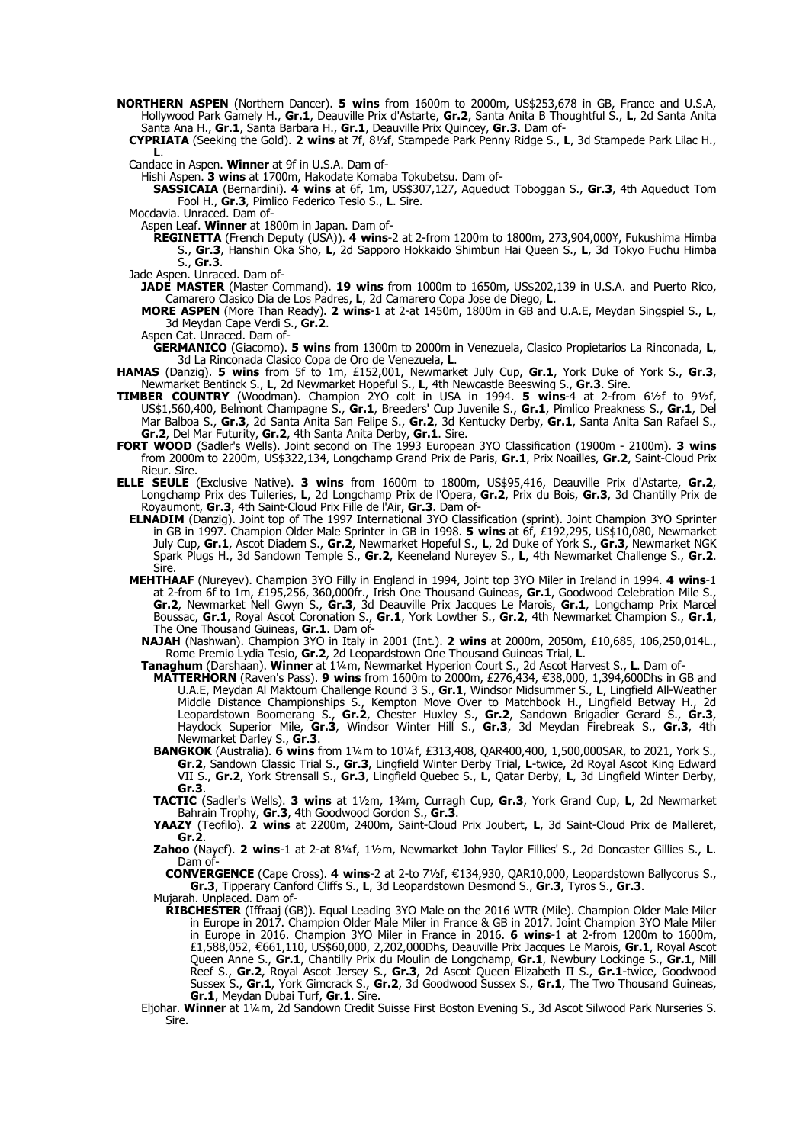**NORTHERN ASPEN** (Northern Dancer). **5 wins** from 1600m to 2000m, US\$253,678 in GB, France and U.S.A, Hollywood Park Gamely H., **Gr.1**, Deauville Prix d'Astarte, **Gr.2**, Santa Anita B Thoughtful S., **L**, 2d Santa Anita Santa Ana H., **Gr.1**, Santa Barbara H., **Gr.1**, Deauville Prix Quincey, **Gr.3**. Dam of-

**CYPRIATA** (Seeking the Gold). **2 wins** at 7f, 8½f, Stampede Park Penny Ridge S., **L**, 3d Stampede Park Lilac H., **L**.

Candace in Aspen. **Winner** at 9f in U.S.A. Dam of-

Hishi Aspen. **3 wins** at 1700m, Hakodate Komaba Tokubetsu. Dam of-

**SASSICAIA** (Bernardini). **4 wins** at 6f, 1m, US\$307,127, Aqueduct Toboggan S., **Gr.3**, 4th Aqueduct Tom Fool H., **Gr.3**, Pimlico Federico Tesio S., **L**. Sire.

Mocdavia. Unraced. Dam of-

Aspen Leaf. **Winner** at 1800m in Japan. Dam of-

**REGINETTA** (French Deputy (USA)). **4 wins**-2 at 2-from 1200m to 1800m, 273,904,000¥, Fukushima Himba S., **Gr.3**, Hanshin Oka Sho, **L**, 2d Sapporo Hokkaido Shimbun Hai Queen S., **L**, 3d Tokyo Fuchu Himba S., **Gr.3**.

Jade Aspen. Unraced. Dam of-

**JADE MASTER** (Master Command). **19 wins** from 1000m to 1650m, US\$202,139 in U.S.A. and Puerto Rico, Camarero Clasico Dia de Los Padres, **L**, 2d Camarero Copa Jose de Diego, **L**.

**MORE ASPEN** (More Than Ready). **2 wins**-1 at 2-at 1450m, 1800m in GB and U.A.E, Meydan Singspiel S., **L**, 3d Meydan Cape Verdi S., **Gr.2**.

Aspen Cat. Unraced. Dam of-

**GERMANICO** (Giacomo). **5 wins** from 1300m to 2000m in Venezuela, Clasico Propietarios La Rinconada, **L**, 3d La Rinconada Clasico Copa de Oro de Venezuela, **L**.

**HAMAS** (Danzig). **5 wins** from 5f to 1m, £152,001, Newmarket July Cup, **Gr.1**, York Duke of York S., **Gr.3**, Newmarket Bentinck S., **L**, 2d Newmarket Hopeful S., **L**, 4th Newcastle Beeswing S., **Gr.3**. Sire.

- **TIMBER COUNTRY** (Woodman). Champion 2YO colt in USA in 1994. **5 wins**-4 at 2-from 6½f to 9½f, US\$1,560,400, Belmont Champagne S., **Gr.1**, Breeders' Cup Juvenile S., **Gr.1**, Pimlico Preakness S., **Gr.1**, Del Mar Balboa S., **Gr.3**, 2d Santa Anita San Felipe S., **Gr.2**, 3d Kentucky Derby, **Gr.1**, Santa Anita San Rafael S., **Gr.2**, Del Mar Futurity, **Gr.2**, 4th Santa Anita Derby, **Gr.1**. Sire.
- **FORT WOOD** (Sadler's Wells). Joint second on The 1993 European 3YO Classification (1900m 2100m). **3 wins** from 2000m to 2200m, US\$322,134, Longchamp Grand Prix de Paris, **Gr.1**, Prix Noailles, **Gr.2**, Saint-Cloud Prix Rieur. Sire.
- **ELLE SEULE** (Exclusive Native). **3 wins** from 1600m to 1800m, US\$95,416, Deauville Prix d'Astarte, **Gr.2**, Longchamp Prix des Tuileries, **L**, 2d Longchamp Prix de l'Opera, **Gr.2**, Prix du Bois, **Gr.3**, 3d Chantilly Prix de Royaumont, **Gr.3**, 4th Saint-Cloud Prix Fille de l'Air, **Gr.3**. Dam of-
	- **ELNADIM** (Danzig). Joint top of The 1997 International 3YO Classification (sprint). Joint Champion 3YO Sprinter in GB in 1997. Champion Older Male Sprinter in GB in 1998. **5 wins** at 6f, £192,295, US\$10,080, Newmarket July Cup, **Gr.1**, Ascot Diadem S., **Gr.2**, Newmarket Hopeful S., **L**, 2d Duke of York S., **Gr.3**, Newmarket NGK Spark Plugs H., 3d Sandown Temple S., **Gr.2**, Keeneland Nureyev S., **L**, 4th Newmarket Challenge S., **Gr.2**. Sire.
	- **MEHTHAAF** (Nureyev). Champion 3YO Filly in England in 1994, Joint top 3YO Miler in Ireland in 1994. **4 wins**-1 at 2-from 6f to 1m, £195,256, 360,000fr., Irish One Thousand Guineas, **Gr.1**, Goodwood Celebration Mile S., **Gr.2**, Newmarket Nell Gwyn S., **Gr.3**, 3d Deauville Prix Jacques Le Marois, **Gr.1**, Longchamp Prix Marcel Boussac, **Gr.1**, Royal Ascot Coronation S., **Gr.1**, York Lowther S., **Gr.2**, 4th Newmarket Champion S., **Gr.1**, The One Thousand Guineas, **Gr.1**. Dam of-

**NAJAH** (Nashwan). Champion 3YO in Italy in 2001 (Int.). **2 wins** at 2000m, 2050m, £10,685, 106,250,014L., Rome Premio Lydia Tesio, **Gr.2**, 2d Leopardstown One Thousand Guineas Trial, **L**.

**Tanaghum** (Darshaan). **Winner** at 1¼m, Newmarket Hyperion Court S., 2d Ascot Harvest S., **L**. Dam of-

- **MATTERHORN** (Raven's Pass). **9 wins** from 1600m to 2000m, £276,434, €38,000, 1,394,600Dhs in GB and U.A.E, Meydan Al Maktoum Challenge Round 3 S., **Gr.1**, Windsor Midsummer S., **L**, Lingfield All-Weather Middle Distance Championships S., Kempton Move Over to Matchbook H., Lingfield Betway H., 2d Leopardstown Boomerang S., **Gr.2**, Chester Huxley S., **Gr.2**, Sandown Brigadier Gerard S., **Gr.3**, Haydock Superior Mile, **Gr.3**, Windsor Winter Hill S., **Gr.3**, 3d Meydan Firebreak S., **Gr.3**, 4th Newmarket Darley S., **Gr.3**.
- **BANGKOK** (Australia). **6 wins** from 1¼m to 10¼f, £313,408, QAR400,400, 1,500,000SAR, to 2021, York S., **Gr.2**, Sandown Classic Trial S., **Gr.3**, Lingfield Winter Derby Trial, **L**-twice, 2d Royal Ascot King Edward VII S., **Gr.2**, York Strensall S., **Gr.3**, Lingfield Quebec S., **L**, Qatar Derby, **L**, 3d Lingfield Winter Derby, **Gr.3**.

**TACTIC** (Sadler's Wells). **3 wins** at 1½m, 1¾m, Curragh Cup, **Gr.3**, York Grand Cup, **L**, 2d Newmarket Bahrain Trophy, **Gr.3**, 4th Goodwood Gordon S., **Gr.3**.

**YAAZY** (Teofilo). **2 wins** at 2200m, 2400m, Saint-Cloud Prix Joubert, **L**, 3d Saint-Cloud Prix de Malleret, **Gr.2**.

**Zahoo** (Nayef). **2 wins**-1 at 2-at 8¼f, 1½m, Newmarket John Taylor Fillies' S., 2d Doncaster Gillies S., **L**. Dam of-

**CONVERGENCE** (Cape Cross). 4 wins-2 at 2-to 71/2f, €134,930, QAR10,000, Leopardstown Ballycorus S., **Gr.3**, Tipperary Canford Cliffs S., **L**, 3d Leopardstown Desmond S., **Gr.3**, Tyros S., **Gr.3**.

Mujarah. Unplaced. Dam of-

- **RIBCHESTER** (Iffraaj (GB)). Equal Leading 3YO Male on the 2016 WTR (Mile). Champion Older Male Miler in Europe in 2017. Champion Older Male Miler in France & GB in 2017. Joint Champion 3YO Male Miler in Europe in 2016. Champion 3YO Miler in France in 2016. **6 wins**-1 at 2-from 1200m to 1600m, £1,588,052, 661,110, US\$60,000, 2,202,000Dhs, Deauville Prix Jacques Le Marois, € **Gr.1**, Royal Ascot Queen Anne S., **Gr.1**, Chantilly Prix du Moulin de Longchamp, **Gr.1**, Newbury Lockinge S., **Gr.1**, Mill Reef S., **Gr.2**, Royal Ascot Jersey S., **Gr.3**, 2d Ascot Queen Elizabeth II S., **Gr.1**-twice, Goodwood Sussex S., **Gr.1**, York Gimcrack S., **Gr.2**, 3d Goodwood Sussex S., **Gr.1**, The Two Thousand Guineas, **Gr.1**, Meydan Dubai Turf, **Gr.1**. Sire.
- Eljohar. **Winner** at 1¼m, 2d Sandown Credit Suisse First Boston Evening S., 3d Ascot Silwood Park Nurseries S. Sire.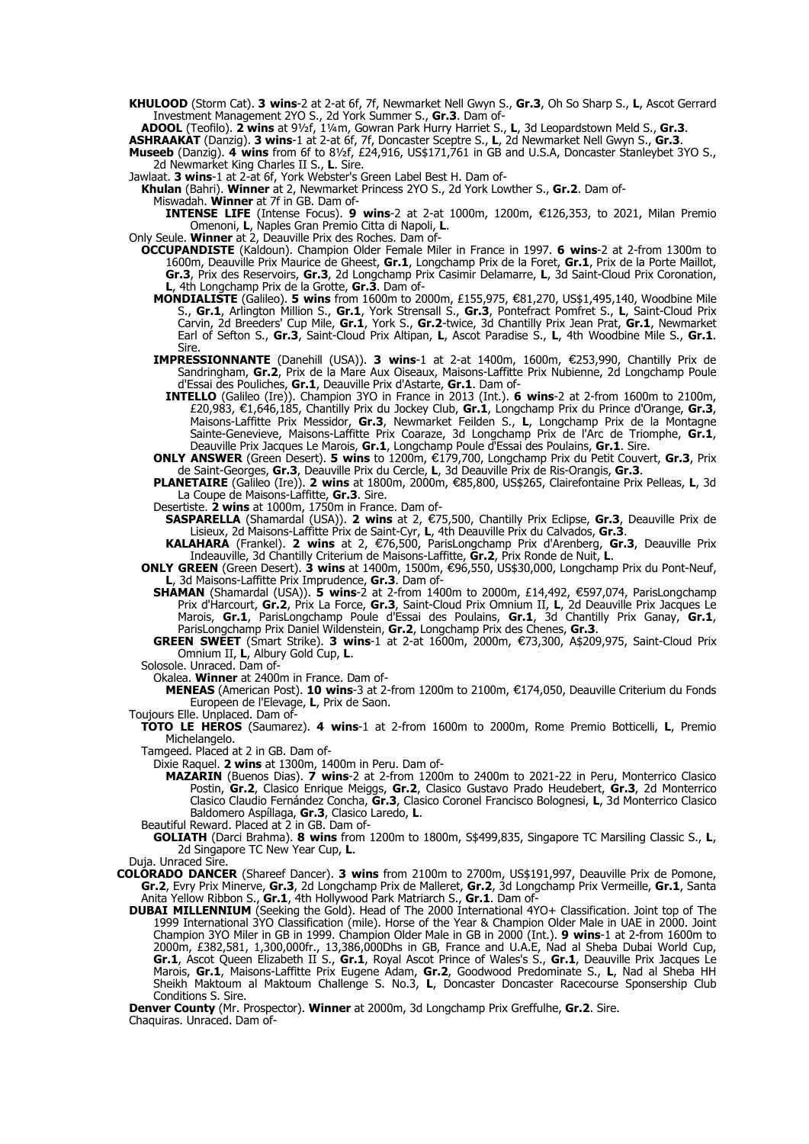- **KHULOOD** (Storm Cat). **3 wins**-2 at 2-at 6f, 7f, Newmarket Nell Gwyn S., **Gr.3**, Oh So Sharp S., **L**, Ascot Gerrard Investment Management 2YO S., 2d York Summer S., **Gr.3**. Dam of-
- **ADOOL** (Teofilo). **2 wins** at 9½f, 1¼m, Gowran Park Hurry Harriet S., **L**, 3d Leopardstown Meld S., **Gr.3**.

**ASHRAAKAT** (Danzig). **3 wins**-1 at 2-at 6f, 7f, Doncaster Sceptre S., **L**, 2d Newmarket Nell Gwyn S., **Gr.3**.

- **Museeb** (Danzig). **4 wins** from 6f to 8½f, £24,916, US\$171,761 in GB and U.S.A, Doncaster Stanleybet 3YO S., 2d Newmarket King Charles II S., **L**. Sire.
- Jawlaat. **3 wins**-1 at 2-at 6f, York Webster's Green Label Best H. Dam of-

**Khulan** (Bahri). **Winner** at 2, Newmarket Princess 2YO S., 2d York Lowther S., **Gr.2**. Dam of-

Miswadah. **Winner** at 7f in GB. Dam of-

**INTENSE LIFE** (Intense Focus). 9 wins-2 at 2-at 1000m, 1200m, €126,353, to 2021, Milan Premio Omenoni, **L**, Naples Gran Premio Citta di Napoli, **L**.

Only Seule. **Winner** at 2, Deauville Prix des Roches. Dam of-

- **OCCUPANDISTE** (Kaldoun). Champion Older Female Miler in France in 1997. **6 wins**-2 at 2-from 1300m to 1600m, Deauville Prix Maurice de Gheest, **Gr.1**, Longchamp Prix de la Foret, **Gr.1**, Prix de la Porte Maillot, **Gr.3**, Prix des Reservoirs, **Gr.3**, 2d Longchamp Prix Casimir Delamarre, **L**, 3d Saint-Cloud Prix Coronation, **L**, 4th Longchamp Prix de la Grotte, **Gr.3**. Dam of-
	- **MONDIALISTE** (Galileo). **5 wins** from 1600m to 2000m, £155,975, €81,270, US\$1,495,140, Woodbine Mile S., **Gr.1**, Arlington Million S., **Gr.1**, York Strensall S., **Gr.3**, Pontefract Pomfret S., **L**, Saint-Cloud Prix Carvin, 2d Breeders' Cup Mile, **Gr.1**, York S., **Gr.2**-twice, 3d Chantilly Prix Jean Prat, **Gr.1**, Newmarket Earl of Sefton S., **Gr.3**, Saint-Cloud Prix Altipan, **L**, Ascot Paradise S., **L**, 4th Woodbine Mile S., **Gr.1**. Sire.
	- IMPRESSIONNANTE (Danehill (USA)). 3 wins-1 at 2-at 1400m, 1600m, €253,990, Chantilly Prix de Sandringham, **Gr.2**, Prix de la Mare Aux Oiseaux, Maisons-Laffitte Prix Nubienne, 2d Longchamp Poule d'Essai des Pouliches, **Gr.1**, Deauville Prix d'Astarte, **Gr.1**. Dam of-
	- **INTELLO** (Galileo (Ire)). Champion 3YO in France in 2013 (Int.). **6 wins**-2 at 2-from 1600m to 2100m, £20,983, 1,646,185, Chantilly Prix du Jockey Club, € **Gr.1**, Longchamp Prix du Prince d'Orange, **Gr.3**, Maisons-Laffitte Prix Messidor, **Gr.3**, Newmarket Feilden S., **L**, Longchamp Prix de la Montagne Sainte-Genevieve, Maisons-Laffitte Prix Coaraze, 3d Longchamp Prix de l'Arc de Triomphe, **Gr.1**, Deauville Prix Jacques Le Marois, **Gr.1**, Longchamp Poule d'Essai des Poulains, **Gr.1**. Sire.
	- **ONLY ANSWER** (Green Desert). **5 wins** to 1200m, €179,700, Longchamp Prix du Petit Couvert, Gr.3, Prix de Saint-Georges, **Gr.3**, Deauville Prix du Cercle, **L**, 3d Deauville Prix de Ris-Orangis, **Gr.3**.
	- **PLANETAIRE** (Galileo (Ire)). 2 wins at 1800m, 2000m, €85,800, US\$265, Clairefontaine Prix Pelleas, L, 3d La Coupe de Maisons-Laffitte, **Gr.3**. Sire.
	- Desertiste. **2 wins** at 1000m, 1750m in France. Dam of-

**SASPARELLA** (Shamardal (USA)). 2 wins at 2, €75,500, Chantilly Prix Eclipse, Gr.3, Deauville Prix de Lisieux, 2d Maisons-Laffitte Prix de Saint-Cyr, **L**, 4th Deauville Prix du Calvados, **Gr.3**.

**KALAHARA** (Frankel). 2 wins at 2, €76,500, ParisLongchamp Prix d'Arenberg, Gr.3, Deauville Prix Indeauville, 3d Chantilly Criterium de Maisons-Laffitte, **Gr.2**, Prix Ronde de Nuit, **L**.

**ONLY GREEN** (Green Desert). 3 wins at 1400m, 1500m, €96,550, US\$30,000, Longchamp Prix du Pont-Neuf, **L**, 3d Maisons-Laffitte Prix Imprudence, **Gr.3**. Dam of-

- **SHAMAN** (Shamardal (USA)). **5 wins**-2 at 2-from 1400m to 2000m, £14,492, €597,074, ParisLongchamp Prix d'Harcourt, **Gr.2**, Prix La Force, **Gr.3**, Saint-Cloud Prix Omnium II, **L**, 2d Deauville Prix Jacques Le Marois, **Gr.1**, ParisLongchamp Poule d'Essai des Poulains, **Gr.1**, 3d Chantilly Prix Ganay, **Gr.1**, ParisLongchamp Prix Daniel Wildenstein, **Gr.2**, Longchamp Prix des Chenes, **Gr.3**.
- **GREEN SWEET** (Smart Strike). **3 wins**-1 at 2-at 1600m, 2000m, €73,300, A\$209,975, Saint-Cloud Prix Omnium II, **L**, Albury Gold Cup, **L**.

Solosole. Unraced. Dam of-

Okalea. **Winner** at 2400m in France. Dam of-

**MENEAS** (American Post). 10 wins-3 at 2-from 1200m to 2100m, €174,050, Deauville Criterium du Fonds Europeen de l'Elevage, **L**, Prix de Saon.

Toujours Elle. Unplaced. Dam of-

- **TOTO LE HEROS** (Saumarez). **4 wins**-1 at 2-from 1600m to 2000m, Rome Premio Botticelli, **L**, Premio Michelangelo.
- Tamgeed. Placed at 2 in GB. Dam of-

Dixie Raquel. **2 wins** at 1300m, 1400m in Peru. Dam of-

- **MAZARIN** (Buenos Dias). **7 wins**-2 at 2-from 1200m to 2400m to 2021-22 in Peru, Monterrico Clasico Postin, **Gr.2**, Clasico Enrique Meiggs, **Gr.2**, Clasico Gustavo Prado Heudebert, **Gr.3**, 2d Monterrico Clasico Claudio Fernández Concha, **Gr.3**, Clasico Coronel Francisco Bolognesi, **L**, 3d Monterrico Clasico Baldomero Aspíllaga, **Gr.3**, Clasico Laredo, **L**.
- Beautiful Reward. Placed at 2 in GB. Dam of-

**GOLIATH** (Darci Brahma). **8 wins** from 1200m to 1800m, S\$499,835, Singapore TC Marsiling Classic S., **L**, 2d Singapore TC New Year Cup, **L**.

Duja. Unraced Sire.

- **COLORADO DANCER** (Shareef Dancer). **3 wins** from 2100m to 2700m, US\$191,997, Deauville Prix de Pomone, **Gr.2**, Evry Prix Minerve, **Gr.3**, 2d Longchamp Prix de Malleret, **Gr.2**, 3d Longchamp Prix Vermeille, **Gr.1**, Santa Anita Yellow Ribbon S., **Gr.1**, 4th Hollywood Park Matriarch S., **Gr.1**. Dam of-
	- **DUBAI MILLENNIUM** (Seeking the Gold). Head of The 2000 International 4YO+ Classification. Joint top of The 1999 International 3YO Classification (mile). Horse of the Year & Champion Older Male in UAE in 2000. Joint Champion 3YO Miler in GB in 1999. Champion Older Male in GB in 2000 (Int.). **9 wins**-1 at 2-from 1600m to 2000m, £382,581, 1,300,000fr., 13,386,000Dhs in GB, France and U.A.E, Nad al Sheba Dubai World Cup, **Gr.1**, Ascot Queen Elizabeth II S., **Gr.1**, Royal Ascot Prince of Wales's S., **Gr.1**, Deauville Prix Jacques Le Marois, **Gr.1**, Maisons-Laffitte Prix Eugene Adam, **Gr.2**, Goodwood Predominate S., **L**, Nad al Sheba HH Sheikh Maktoum al Maktoum Challenge S. No.3, **L**, Doncaster Doncaster Racecourse Sponsership Club Conditions S. Sire.

**Denver County** (Mr. Prospector). **Winner** at 2000m, 3d Longchamp Prix Greffulhe, **Gr.2**. Sire. Chaquiras. Unraced. Dam of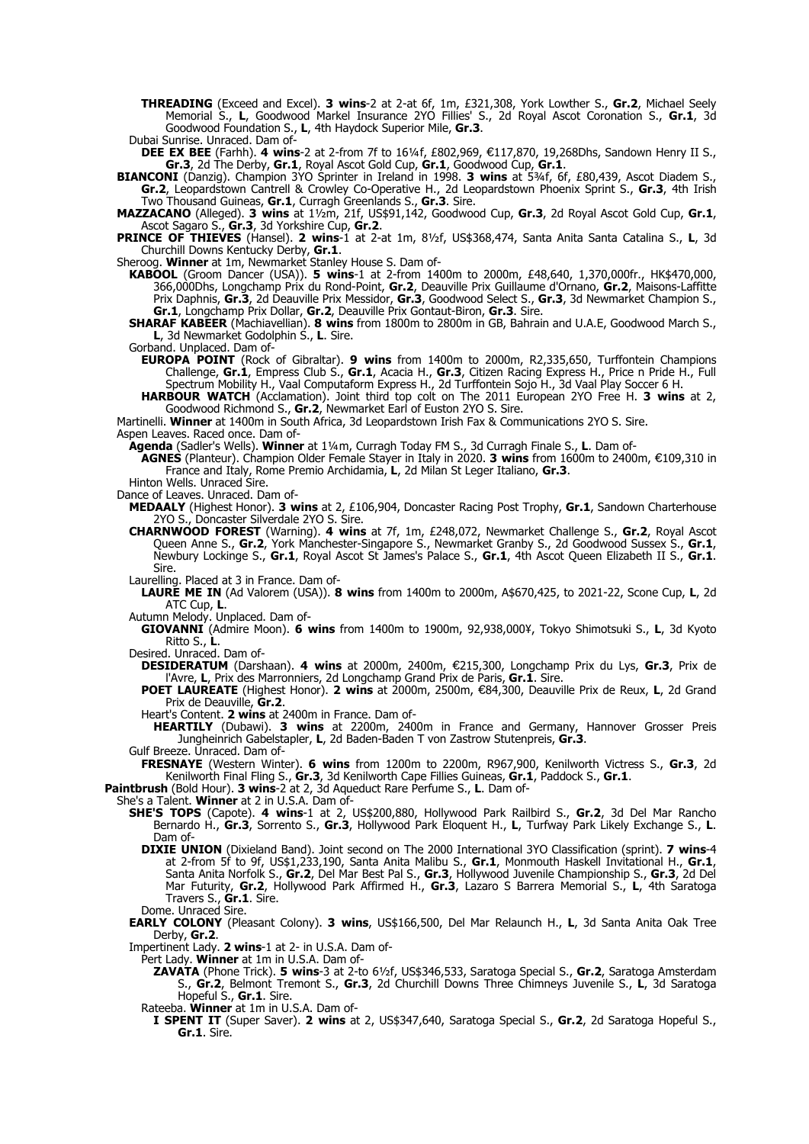**THREADING** (Exceed and Excel). **3 wins**-2 at 2-at 6f, 1m, £321,308, York Lowther S., **Gr.2**, Michael Seely Memorial S., **L**, Goodwood Markel Insurance 2YO Fillies' S., 2d Royal Ascot Coronation S., **Gr.1**, 3d Goodwood Foundation S., **L**, 4th Haydock Superior Mile, **Gr.3**.

Dubai Sunrise. Unraced. Dam of-

**DEE EX BEE** (Farhh). 4 wins-2 at 2-from 7f to 16¼f, £802,969, €117,870, 19,268Dhs, Sandown Henry II S., **Gr.3**, 2d The Derby, **Gr.1**, Royal Ascot Gold Cup, **Gr.1**, Goodwood Cup, **Gr.1**.

**BIANCONI** (Danzig). Champion 3YO Sprinter in Ireland in 1998. **3 wins** at 5¾f, 6f, £80,439, Ascot Diadem S., **Gr.2**, Leopardstown Cantrell & Crowley Co-Operative H., 2d Leopardstown Phoenix Sprint S., **Gr.3**, 4th Irish Two Thousand Guineas, **Gr.1**, Curragh Greenlands S., **Gr.3**. Sire.

**MAZZACANO** (Alleged). **3 wins** at 1½m, 21f, US\$91,142, Goodwood Cup, **Gr.3**, 2d Royal Ascot Gold Cup, **Gr.1**, Ascot Sagaro S., **Gr.3**, 3d Yorkshire Cup, **Gr.2**.

**PRINCE OF THIEVES** (Hansel). **2 wins**-1 at 2-at 1m, 8½f, US\$368,474, Santa Anita Santa Catalina S., **L**, 3d Churchill Downs Kentucky Derby, **Gr.1**.

Sheroog. **Winner** at 1m, Newmarket Stanley House S. Dam of-

- **KABOOL** (Groom Dancer (USA)). **5 wins**-1 at 2-from 1400m to 2000m, £48,640, 1,370,000fr., HK\$470,000, 366,000Dhs, Longchamp Prix du Rond-Point, **Gr.2**, Deauville Prix Guillaume d'Ornano, **Gr.2**, Maisons-Laffitte Prix Daphnis, **Gr.3**, 2d Deauville Prix Messidor, **Gr.3**, Goodwood Select S., **Gr.3**, 3d Newmarket Champion S., **Gr.1**, Longchamp Prix Dollar, **Gr.2**, Deauville Prix Gontaut-Biron, **Gr.3**. Sire.
- **SHARAF KABEER** (Machiavellian). **8 wins** from 1800m to 2800m in GB, Bahrain and U.A.E, Goodwood March S., **L**, 3d Newmarket Godolphin S., **L**. Sire.

Gorband. Unplaced. Dam of-

- **EUROPA POINT** (Rock of Gibraltar). **9 wins** from 1400m to 2000m, R2,335,650, Turffontein Champions Challenge, **Gr.1**, Empress Club S., **Gr.1**, Acacia H., **Gr.3**, Citizen Racing Express H., Price n Pride H., Full Spectrum Mobility H., Vaal Computaform Express H., 2d Turffontein Sojo H., 3d Vaal Play Soccer 6 H.
- **HARBOUR WATCH** (Acclamation). Joint third top colt on The 2011 European 2YO Free H. **3 wins** at 2, Goodwood Richmond S., **Gr.2**, Newmarket Earl of Euston 2YO S. Sire.

Martinelli. **Winner** at 1400m in South Africa, 3d Leopardstown Irish Fax & Communications 2YO S. Sire.

Aspen Leaves. Raced once. Dam of-

**Agenda** (Sadler's Wells). **Winner** at 1¼m, Curragh Today FM S., 3d Curragh Finale S., **L**. Dam of-

**AGNES** (Planteur). Champion Older Female Stayer in Italy in 2020. **3 wins** from 1600m to 2400m, €109,310 in France and Italy, Rome Premio Archidamia, **L**, 2d Milan St Leger Italiano, **Gr.3**.

Hinton Wells. Unraced Sire.

Dance of Leaves. Unraced. Dam of-

**MEDAALY** (Highest Honor). **3 wins** at 2, £106,904, Doncaster Racing Post Trophy, **Gr.1**, Sandown Charterhouse 2YO S., Doncaster Silverdale 2YO S. Sire.

**CHARNWOOD FOREST** (Warning). **4 wins** at 7f, 1m, £248,072, Newmarket Challenge S., **Gr.2**, Royal Ascot Queen Anne S., **Gr.2**, York Manchester-Singapore S., Newmarket Granby S., 2d Goodwood Sussex S., **Gr.1**, Newbury Lockinge S., **Gr.1**, Royal Ascot St James's Palace S., **Gr.1**, 4th Ascot Queen Elizabeth II S., **Gr.1**. Sire.

Laurelling. Placed at 3 in France. Dam of-

**LAURE ME IN** (Ad Valorem (USA)). **8 wins** from 1400m to 2000m, A\$670,425, to 2021-22, Scone Cup, **L**, 2d ATC Cup, **L**.

Autumn Melody. Unplaced. Dam of-

**GIOVANNI** (Admire Moon). **6 wins** from 1400m to 1900m, 92,938,000¥, Tokyo Shimotsuki S., **L**, 3d Kyoto Ritto S., **L**.

Desired. Unraced. Dam of-

**DESIDERATUM** (Darshaan). 4 wins at 2000m, 2400m, €215,300, Longchamp Prix du Lys, Gr.3, Prix de l'Avre, **L**, Prix des Marronniers, 2d Longchamp Grand Prix de Paris, **Gr.1**. Sire.

**POET LAUREATE** (Highest Honor). 2 wins at 2000m, 2500m, €84,300, Deauville Prix de Reux, L, 2d Grand Prix de Deauville, **Gr.2**.

Heart's Content. **2 wins** at 2400m in France. Dam of-

**HEARTILY** (Dubawi). **3 wins** at 2200m, 2400m in France and Germany, Hannover Grosser Preis Jungheinrich Gabelstapler, **L**, 2d Baden-Baden T von Zastrow Stutenpreis, **Gr.3**.

Gulf Breeze. Unraced. Dam of-

**FRESNAYE** (Western Winter). **6 wins** from 1200m to 2200m, R967,900, Kenilworth Victress S., **Gr.3**, 2d Kenilworth Final Fling S., **Gr.3**, 3d Kenilworth Cape Fillies Guineas, **Gr.1**, Paddock S., **Gr.1**.

**Paintbrush** (Bold Hour). **3 wins**-2 at 2, 3d Aqueduct Rare Perfume S., **L**. Dam of-

She's a Talent. **Winner** at 2 in U.S.A. Dam of-

- **SHE'S TOPS** (Capote). **4 wins**-1 at 2, US\$200,880, Hollywood Park Railbird S., **Gr.2**, 3d Del Mar Rancho Bernardo H., **Gr.3**, Sorrento S., **Gr.3**, Hollywood Park Eloquent H., **L**, Turfway Park Likely Exchange S., **L**. Dam of-
- **DIXIE UNION** (Dixieland Band). Joint second on The 2000 International 3YO Classification (sprint). **7 wins**-4 at 2-from 5f to 9f, US\$1,233,190, Santa Anita Malibu S., **Gr.1**, Monmouth Haskell Invitational H., **Gr.1**, Santa Anita Norfolk S., **Gr.2**, Del Mar Best Pal S., **Gr.3**, Hollywood Juvenile Championship S., **Gr.3**, 2d Del Mar Futurity, **Gr.2**, Hollywood Park Affirmed H., **Gr.3**, Lazaro S Barrera Memorial S., **L**, 4th Saratoga Travers S., **Gr.1**. Sire.

Dome. Unraced Sire.

**EARLY COLONY** (Pleasant Colony). **3 wins**, US\$166,500, Del Mar Relaunch H., **L**, 3d Santa Anita Oak Tree Derby, **Gr.2**.

Impertinent Lady. **2 wins**-1 at 2- in U.S.A. Dam of-

Pert Lady. **Winner** at 1m in U.S.A. Dam of-

**ZAVATA** (Phone Trick). **5 wins**-3 at 2-to 6½f, US\$346,533, Saratoga Special S., **Gr.2**, Saratoga Amsterdam S., **Gr.2**, Belmont Tremont S., **Gr.3**, 2d Churchill Downs Three Chimneys Juvenile S., **L**, 3d Saratoga Hopeful S., **Gr.1**. Sire.

Rateeba. **Winner** at 1m in U.S.A. Dam of-

**I SPENT IT** (Super Saver). **2 wins** at 2, US\$347,640, Saratoga Special S., **Gr.2**, 2d Saratoga Hopeful S., **Gr.1**. Sire.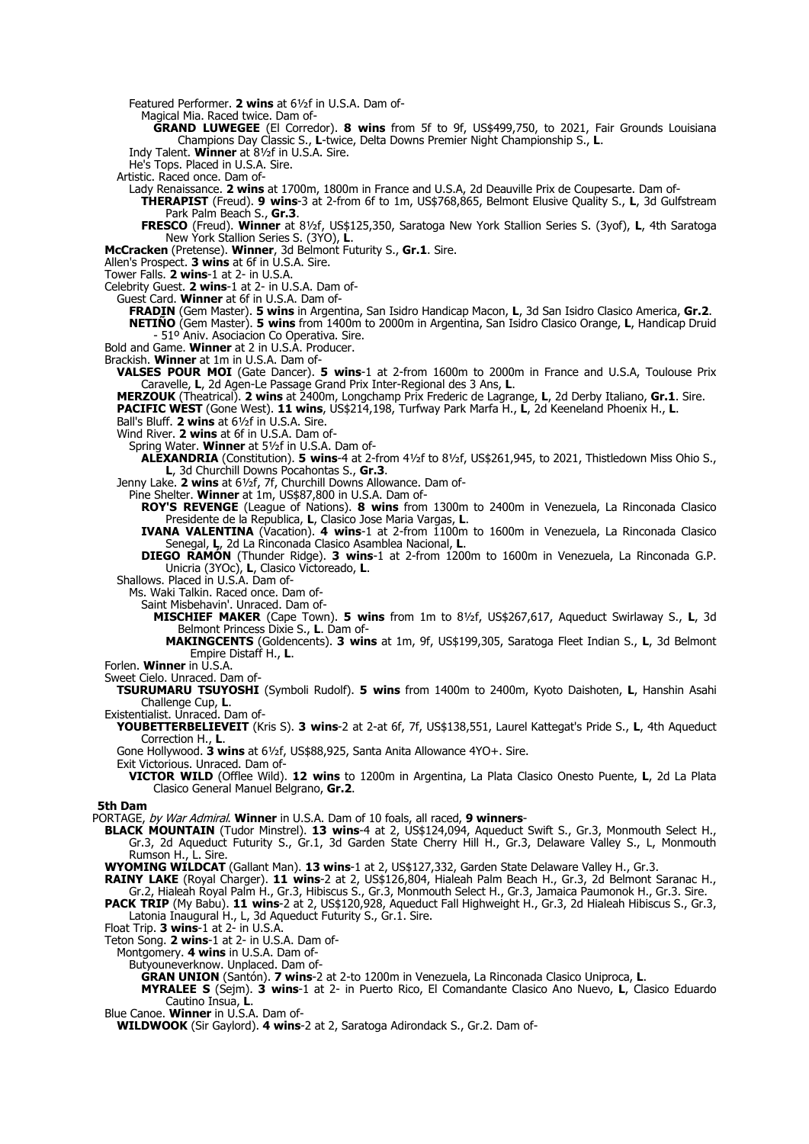Featured Performer. **2 wins** at 6½f in U.S.A. Dam of-

Magical Mia. Raced twice. Dam of-

**GRAND LUWEGEE** (El Corredor). **8 wins** from 5f to 9f, US\$499,750, to 2021, Fair Grounds Louisiana Champions Day Classic S., **L**-twice, Delta Downs Premier Night Championship S., **L**.

Indy Talent. **Winner** at 8½f in U.S.A. Sire.

He's Tops. Placed in U.S.A. Sire.

Artistic. Raced once. Dam of-

- Lady Renaissance. **2 wins** at 1700m, 1800m in France and U.S.A, 2d Deauville Prix de Coupesarte. Dam of-**THERAPIST** (Freud). **9 wins**-3 at 2-from 6f to 1m, US\$768,865, Belmont Elusive Quality S., **L**, 3d Gulfstream
	- Park Palm Beach S., **Gr.3**.

**FRESCO** (Freud). **Winner** at 8½f, US\$125,350, Saratoga New York Stallion Series S. (3yof), **L**, 4th Saratoga New York Stallion Series S. (3YO), **L**.

**McCracken** (Pretense). **Winner**, 3d Belmont Futurity S., **Gr.1**. Sire.

Allen's Prospect. **3 wins** at 6f in U.S.A. Sire.

Tower Falls. **2 wins**-1 at 2- in U.S.A.

Celebrity Guest. **2 wins**-1 at 2- in U.S.A. Dam of-

Guest Card. **Winner** at 6f in U.S.A. Dam of-

**FRADIN** (Gem Master). **5 wins** in Argentina, San Isidro Handicap Macon, **L**, 3d San Isidro Clasico America, **Gr.2**. **NETIÑO** (Gem Master). **5 wins** from 1400m to 2000m in Argentina, San Isidro Clasico Orange, **L**, Handicap Druid - 51º Aniv. Asociacion Co Operativa. Sire.

Bold and Game. **Winner** at 2 in U.S.A. Producer.

Brackish. **Winner** at 1m in U.S.A. Dam of-

**VALSES POUR MOI** (Gate Dancer). **5 wins**-1 at 2-from 1600m to 2000m in France and U.S.A, Toulouse Prix Caravelle, **L**, 2d Agen-Le Passage Grand Prix Inter-Regional des 3 Ans, **L**.

**MERZOUK** (Theatrical). **2 wins** at 2400m, Longchamp Prix Frederic de Lagrange, **L**, 2d Derby Italiano, **Gr.1**. Sire.

**PACIFIC WEST** (Gone West). **11 wins**, US\$214,198, Turfway Park Marfa H., **L**, 2d Keeneland Phoenix H., **L**.

Ball's Bluff. **2 wins** at 6½f in U.S.A. Sire.

Wind River. **2 wins** at 6f in U.S.A. Dam of-

Spring Water. **Winner** at 5½f in U.S.A. Dam of-

**ALEXANDRIA** (Constitution). **5 wins**-4 at 2-from 4½f to 8½f, US\$261,945, to 2021, Thistledown Miss Ohio S., **L**, 3d Churchill Downs Pocahontas S., **Gr.3**.

Jenny Lake. **2 wins** at 6½f, 7f, Churchill Downs Allowance. Dam of-

Pine Shelter. **Winner** at 1m, US\$87,800 in U.S.A. Dam of-

**ROY'S REVENGE** (League of Nations). **8 wins** from 1300m to 2400m in Venezuela, La Rinconada Clasico Presidente de la Republica, **L**, Clasico Jose Maria Vargas, **L**.

**IVANA VALENTINA** (Vacation). **4 wins**-1 at 2-from 1100m to 1600m in Venezuela, La Rinconada Clasico Senegal, **L**, 2d La Rinconada Clasico Asamblea Nacional, **L**.

**DIEGO RAMÓN** (Thunder Ridge). **3 wins**-1 at 2-from 1200m to 1600m in Venezuela, La Rinconada G.P. Unicria (3YOc), **L**, Clasico Victoreado, **L**.

Shallows. Placed in U.S.A. Dam of-

Ms. Waki Talkin. Raced once. Dam of-

Saint Misbehavin'. Unraced. Dam of-

- **MISCHIEF MAKER** (Cape Town). **5 wins** from 1m to 8½f, US\$267,617, Aqueduct Swirlaway S., **L**, 3d Belmont Princess Dixie S., **L**. Dam of-
	- **MAKINGCENTS** (Goldencents). **3 wins** at 1m, 9f, US\$199,305, Saratoga Fleet Indian S., **L**, 3d Belmont Empire Distaff H., **L**.

Forlen. **Winner** in U.S.A.

Sweet Cielo. Unraced. Dam of-

**TSURUMARU TSUYOSHI** (Symboli Rudolf). **5 wins** from 1400m to 2400m, Kyoto Daishoten, **L**, Hanshin Asahi Challenge Cup, **L**.

Existentialist. Unraced. Dam of-

**YOUBETTERBELIEVEIT** (Kris S). **3 wins**-2 at 2-at 6f, 7f, US\$138,551, Laurel Kattegat's Pride S., **L**, 4th Aqueduct Correction H., **L**.

Gone Hollywood. **3 wins** at 6½f, US\$88,925, Santa Anita Allowance 4YO+. Sire.

Exit Victorious. Unraced. Dam of-

**VICTOR WILD** (Offlee Wild). **12 wins** to 1200m in Argentina, La Plata Clasico Onesto Puente, **L**, 2d La Plata Clasico General Manuel Belgrano, **Gr.2**.

**5th Dam**

PORTAGE, by War Admiral. **Winner** in U.S.A. Dam of 10 foals, all raced, **9 winners**-

**BLACK MOUNTAIN** (Tudor Minstrel). **13 wins**-4 at 2, US\$124,094, Aqueduct Swift S., Gr.3, Monmouth Select H., Gr.3, 2d Aqueduct Futurity S., Gr.1, 3d Garden State Cherry Hill H., Gr.3, Delaware Valley S., L, Monmouth Rumson H., L. Sire.

**WYOMING WILDCAT** (Gallant Man). **13 wins**-1 at 2, US\$127,332, Garden State Delaware Valley H., Gr.3.

**RAINY LAKE** (Royal Charger). **11 wins**-2 at 2, US\$126,804, Hialeah Palm Beach H., Gr.3, 2d Belmont Saranac H., Gr.2, Hialeah Royal Palm H., Gr.3, Hibiscus S., Gr.3, Monmouth Select H., Gr.3, Jamaica Paumonok H., Gr.3. Sire.

**PACK TRIP** (My Babu). **11 wins**-2 at 2, US\$120,928, Aqueduct Fall Highweight H., Gr.3, 2d Hialeah Hibiscus S., Gr.3, Latonia Inaugural H., L, 3d Aqueduct Futurity S., Gr.1. Sire.

Float Trip. **3 wins**-1 at 2- in U.S.A.

Teton Song. **2 wins**-1 at 2- in U.S.A. Dam of-

Montgomery. **4 wins** in U.S.A. Dam of-

Butyouneverknow. Unplaced. Dam of-

**GRAN UNION** (Santón). **7 wins**-2 at 2-to 1200m in Venezuela, La Rinconada Clasico Uniproca, **L**.

**MYRALEE S** (Sejm). **3 wins**-1 at 2- in Puerto Rico, El Comandante Clasico Ano Nuevo, **L**, Clasico Eduardo Cautino Insua, **L**.

Blue Canoe. **Winner** in U.S.A. Dam of-

**WILDWOOK** (Sir Gaylord). **4 wins**-2 at 2, Saratoga Adirondack S., Gr.2. Dam of-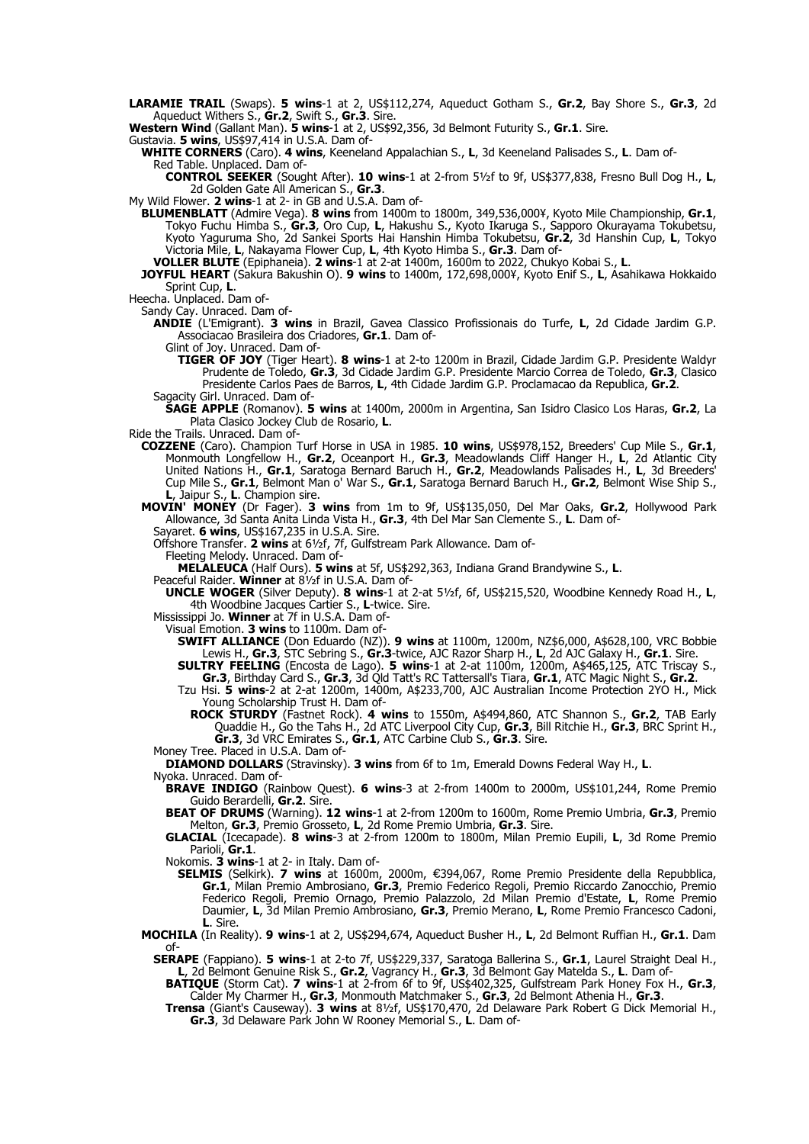**LARAMIE TRAIL** (Swaps). **5 wins**-1 at 2, US\$112,274, Aqueduct Gotham S., **Gr.2**, Bay Shore S., **Gr.3**, 2d Aqueduct Withers S., **Gr.2**, Swift S., **Gr.3**. Sire.

**Western Wind** (Gallant Man). **5 wins**-1 at 2, US\$92,356, 3d Belmont Futurity S., **Gr.1**. Sire.

Gustavia. **5 wins**, US\$97,414 in U.S.A. Dam of-

**WHITE CORNERS** (Caro). **4 wins**, Keeneland Appalachian S., **L**, 3d Keeneland Palisades S., **L**. Dam of-Red Table. Unplaced. Dam of-

**CONTROL SEEKER** (Sought After). **10 wins**-1 at 2-from 5½f to 9f, US\$377,838, Fresno Bull Dog H., **L**, 2d Golden Gate All American S., **Gr.3**.

My Wild Flower. 2 wins-1 at 2- in GB and U.S.A. Dam of-

**BLUMENBLATT** (Admire Vega). **8 wins** from 1400m to 1800m, 349,536,000¥, Kyoto Mile Championship, **Gr.1**, Tokyo Fuchu Himba S., **Gr.3**, Oro Cup, **L**, Hakushu S., Kyoto Ikaruga S., Sapporo Okurayama Tokubetsu, Kyoto Yaguruma Sho, 2d Sankei Sports Hai Hanshin Himba Tokubetsu, **Gr.2**, 3d Hanshin Cup, **L**, Tokyo Victoria Mile, **L**, Nakayama Flower Cup, **L**, 4th Kyoto Himba S., **Gr.3**. Dam of-

**VOLLER BLUTE** (Epiphaneia). **2 wins**-1 at 2-at 1400m, 1600m to 2022, Chukyo Kobai S., **L**.

**JOYFUL HEART** (Sakura Bakushin O). **9 wins** to 1400m, 172,698,000¥, Kyoto Enif S., **L**, Asahikawa Hokkaido Sprint Cup, **L**.

Heecha. Unplaced. Dam of-

Sandy Cay. Unraced. Dam of-

**ANDIE** (L'Emigrant). **3 wins** in Brazil, Gavea Classico Profissionais do Turfe, **L**, 2d Cidade Jardim G.P. Associacao Brasileira dos Criadores, **Gr.1**. Dam of-

Glint of Joy. Unraced. Dam of-

**TIGER OF JOY** (Tiger Heart). **8 wins**-1 at 2-to 1200m in Brazil, Cidade Jardim G.P. Presidente Waldyr Prudente de Toledo, **Gr.3**, 3d Cidade Jardim G.P. Presidente Marcio Correa de Toledo, **Gr.3**, Clasico Presidente Carlos Paes de Barros, **L**, 4th Cidade Jardim G.P. Proclamacao da Republica, **Gr.2**. Sagacity Girl. Unraced. Dam of-

**SAGE APPLE** (Romanov). **5 wins** at 1400m, 2000m in Argentina, San Isidro Clasico Los Haras, **Gr.2**, La Plata Clasico Jockey Club de Rosario, **L**.

Ride the Trails. Unraced. Dam of-

**COZZENE** (Caro). Champion Turf Horse in USA in 1985. **10 wins**, US\$978,152, Breeders' Cup Mile S., **Gr.1**, Monmouth Longfellow H., **Gr.2**, Oceanport H., **Gr.3**, Meadowlands Cliff Hanger H., **L**, 2d Atlantic City United Nations H., **Gr.1**, Saratoga Bernard Baruch H., **Gr.2**, Meadowlands Palisades H., **L**, 3d Breeders' Cup Mile S., **Gr.1**, Belmont Man o' War S., **Gr.1**, Saratoga Bernard Baruch H., **Gr.2**, Belmont Wise Ship S., **L**, Jaipur S., **L**. Champion sire.

**MOVIN' MONEY** (Dr Fager). **3 wins** from 1m to 9f, US\$135,050, Del Mar Oaks, **Gr.2**, Hollywood Park Allowance, 3d Santa Anita Linda Vista H., **Gr.3**, 4th Del Mar San Clemente S., **L**. Dam of-

Sayaret. **6 wins**, US\$167,235 in U.S.A. Sire.

Offshore Transfer. **2 wins** at 6½f, 7f, Gulfstream Park Allowance. Dam of-

Fleeting Melody. Unraced. Dam of-

**MELALEUCA** (Half Ours). **5 wins** at 5f, US\$292,363, Indiana Grand Brandywine S., **L**.

Peaceful Raider. **Winner** at 8½f in U.S.A. Dam of-

**UNCLE WOGER** (Silver Deputy). **8 wins**-1 at 2-at 5½f, 6f, US\$215,520, Woodbine Kennedy Road H., **L**, 4th Woodbine Jacques Cartier S., **L**-twice. Sire.

Mississippi Jo. **Winner** at 7f in U.S.A. Dam of-

Visual Emotion. **3 wins** to 1100m. Dam of-

**SWIFT ALLIANCE** (Don Eduardo (NZ)). **9 wins** at 1100m, 1200m, NZ\$6,000, A\$628,100, VRC Bobbie Lewis H., **Gr.3**, STC Sebring S., **Gr.3**-twice, AJC Razor Sharp H., **L**, 2d AJC Galaxy H., **Gr.1**. Sire. **SULTRY FEELING** (Encosta de Lago). **5 wins**-1 at 2-at 1100m, 1200m, A\$465,125, ATC Triscay S.,

**Gr.3**, Birthday Card S., **Gr.3**, 3d Qld Tatt's RC Tattersall's Tiara, **Gr.1**, ATC Magic Night S., **Gr.2**. Tzu Hsi. **5 wins**-2 at 2-at 1200m, 1400m, A\$233,700, AJC Australian Income Protection 2YO H., Mick

Young Scholarship Trust H. Dam of-

**ROCK STURDY** (Fastnet Rock). **4 wins** to 1550m, A\$494,860, ATC Shannon S., **Gr.2**, TAB Early Quaddie H., Go the Tahs H., 2d ATC Liverpool City Cup, **Gr.3**, Bill Ritchie H., **Gr.3**, BRC Sprint H., **Gr.3**, 3d VRC Emirates S., **Gr.1**, ATC Carbine Club S., **Gr.3**. Sire.

Money Tree. Placed in U.S.A. Dam of-

**DIAMOND DOLLARS** (Stravinsky). **3 wins** from 6f to 1m, Emerald Downs Federal Way H., **L**.

Nyoka. Unraced. Dam of-

**BRAVE INDIGO** (Rainbow Quest). **6 wins**-3 at 2-from 1400m to 2000m, US\$101,244, Rome Premio Guido Berardelli, **Gr.2**. Sire.

**BEAT OF DRUMS** (Warning). **12 wins**-1 at 2-from 1200m to 1600m, Rome Premio Umbria, **Gr.3**, Premio Melton, **Gr.3**, Premio Grosseto, **L**, 2d Rome Premio Umbria, **Gr.3**. Sire.

**GLACIAL** (Icecapade). **8 wins**-3 at 2-from 1200m to 1800m, Milan Premio Eupili, **L**, 3d Rome Premio Parioli, **Gr.1**.

Nokomis. **3 wins**-1 at 2- in Italy. Dam of-

- **SELMIS** (Selkirk). **7 wins** at 1600m, 2000m, €394,067, Rome Premio Presidente della Repubblica, **Gr.1**, Milan Premio Ambrosiano, **Gr.3**, Premio Federico Regoli, Premio Riccardo Zanocchio, Premio Federico Regoli, Premio Ornago, Premio Palazzolo, 2d Milan Premio d'Estate, **L**, Rome Premio Daumier, **L**, 3d Milan Premio Ambrosiano, **Gr.3**, Premio Merano, **L**, Rome Premio Francesco Cadoni, **L**. Sire.
- **MOCHILA** (In Reality). **9 wins**-1 at 2, US\$294,674, Aqueduct Busher H., **L**, 2d Belmont Ruffian H., **Gr.1**. Dam of-

**SERAPE** (Fappiano). **5 wins**-1 at 2-to 7f, US\$229,337, Saratoga Ballerina S., **Gr.1**, Laurel Straight Deal H., **L**, 2d Belmont Genuine Risk S., **Gr.2**, Vagrancy H., **Gr.3**, 3d Belmont Gay Matelda S., **L**. Dam of-

**BATIQUE** (Storm Cat). **7 wins**-1 at 2-from 6f to 9f, US\$402,325, Gulfstream Park Honey Fox H., **Gr.3**, Calder My Charmer H., **Gr.3**, Monmouth Matchmaker S., **Gr.3**, 2d Belmont Athenia H., **Gr.3**.

**Trensa** (Giant's Causeway). **3 wins** at 8½f, US\$170,470, 2d Delaware Park Robert G Dick Memorial H., **Gr.3**, 3d Delaware Park John W Rooney Memorial S., **L**. Dam of-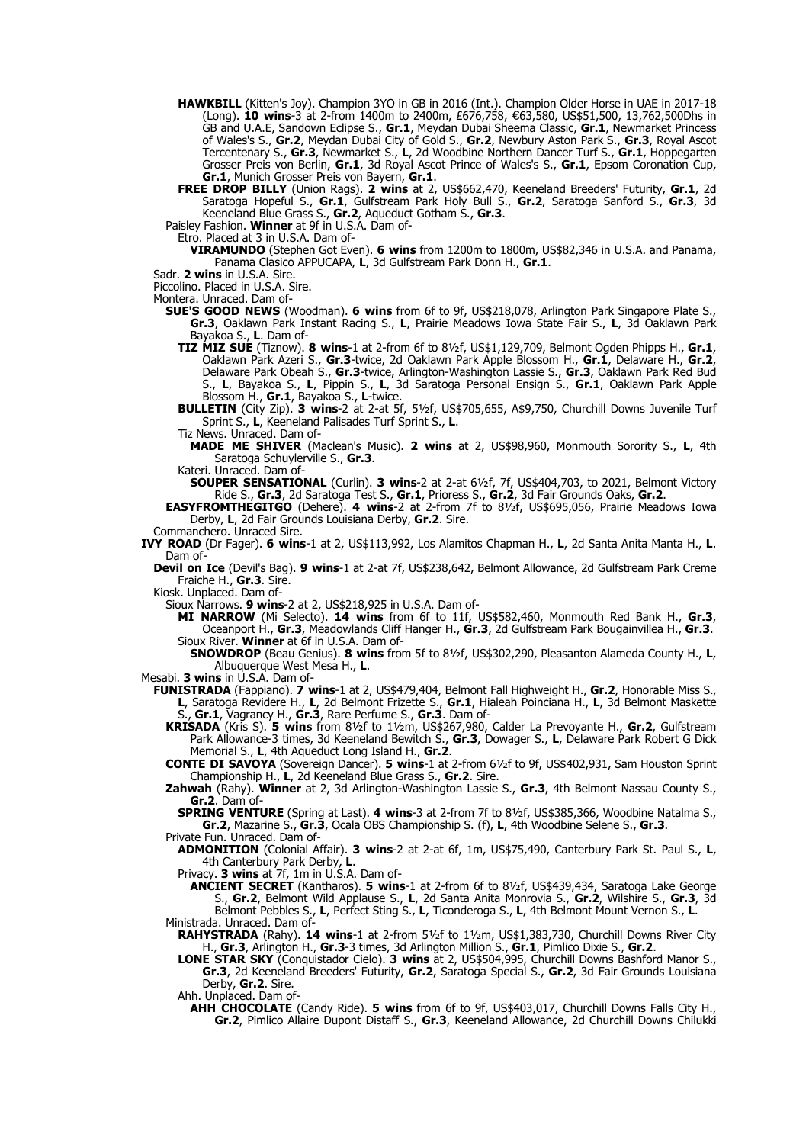- **HAWKBILL** (Kitten's Joy). Champion 3YO in GB in 2016 (Int.). Champion Older Horse in UAE in 2017-18 (Long). **10 wins**-3 at 2-from 1400m to 2400m, £676,758, 63,580, US\$51,500, 13,762,500Dhs in € GB and U.A.E, Sandown Eclipse S., **Gr.1**, Meydan Dubai Sheema Classic, **Gr.1**, Newmarket Princess of Wales's S., **Gr.2**, Meydan Dubai City of Gold S., **Gr.2**, Newbury Aston Park S., **Gr.3**, Royal Ascot Tercentenary S., **Gr.3**, Newmarket S., **L**, 2d Woodbine Northern Dancer Turf S., **Gr.1**, Hoppegarten Grosser Preis von Berlin, **Gr.1**, 3d Royal Ascot Prince of Wales's S., **Gr.1**, Epsom Coronation Cup, **Gr.1**, Munich Grosser Preis von Bayern, **Gr.1**.
- **FREE DROP BILLY** (Union Rags). **2 wins** at 2, US\$662,470, Keeneland Breeders' Futurity, **Gr.1**, 2d Saratoga Hopeful S., **Gr.1**, Gulfstream Park Holy Bull S., **Gr.2**, Saratoga Sanford S., **Gr.3**, 3d Keeneland Blue Grass S., **Gr.2**, Aqueduct Gotham S., **Gr.3**.

Paisley Fashion. **Winner** at 9f in U.S.A. Dam of-

Etro. Placed at 3 in U.S.A. Dam of-

**VIRAMUNDO** (Stephen Got Even). **6 wins** from 1200m to 1800m, US\$82,346 in U.S.A. and Panama, Panama Clasico APPUCAPA, **L**, 3d Gulfstream Park Donn H., **Gr.1**.

Sadr. **2 wins** in U.S.A. Sire.

Piccolino. Placed in U.S.A. Sire.

Montera. Unraced. Dam of-

- **SUE'S GOOD NEWS** (Woodman). **6 wins** from 6f to 9f, US\$218,078, Arlington Park Singapore Plate S., **Gr.3**, Oaklawn Park Instant Racing S., **L**, Prairie Meadows Iowa State Fair S., **L**, 3d Oaklawn Park Bayakoa S., **L**. Dam of-
	- **TIZ MIZ SUE** (Tiznow). **8 wins**-1 at 2-from 6f to 8½f, US\$1,129,709, Belmont Ogden Phipps H., **Gr.1**, Oaklawn Park Azeri S., **Gr.3**-twice, 2d Oaklawn Park Apple Blossom H., **Gr.1**, Delaware H., **Gr.2**, Delaware Park Obeah S., **Gr.3**-twice, Arlington-Washington Lassie S., **Gr.3**, Oaklawn Park Red Bud S., **L**, Bayakoa S., **L**, Pippin S., **L**, 3d Saratoga Personal Ensign S., **Gr.1**, Oaklawn Park Apple Blossom H., **Gr.1**, Bayakoa S., **L**-twice.

**BULLETIN** (City Zip). **3 wins**-2 at 2-at 5f, 5½f, US\$705,655, A\$9,750, Churchill Downs Juvenile Turf Sprint S., **L**, Keeneland Palisades Turf Sprint S., **L**.

Tiz News. Unraced. Dam of-

**MADE ME SHIVER** (Maclean's Music). **2 wins** at 2, US\$98,960, Monmouth Sorority S., **L**, 4th Saratoga Schuylerville S., **Gr.3**.

Kateri. Unraced. Dam of-

**SOUPER SENSATIONAL** (Curlin). **3 wins**-2 at 2-at 6½f, 7f, US\$404,703, to 2021, Belmont Victory Ride S., **Gr.3**, 2d Saratoga Test S., **Gr.1**, Prioress S., **Gr.2**, 3d Fair Grounds Oaks, **Gr.2**.

**EASYFROMTHEGITGO** (Dehere). **4 wins**-2 at 2-from 7f to 8½f, US\$695,056, Prairie Meadows Iowa Derby, **L**, 2d Fair Grounds Louisiana Derby, **Gr.2**. Sire.

Commanchero. Unraced Sire.

**IVY ROAD** (Dr Fager). **6 wins**-1 at 2, US\$113,992, Los Alamitos Chapman H., **L**, 2d Santa Anita Manta H., **L**. Dam of

**Devil on Ice** (Devil's Bag). **9 wins**-1 at 2-at 7f, US\$238,642, Belmont Allowance, 2d Gulfstream Park Creme Fraiche H., **Gr.3**. Sire.

Kiosk. Unplaced. Dam of-

Sioux Narrows. **9 wins**-2 at 2, US\$218,925 in U.S.A. Dam of-

**MI NARROW** (Mi Selecto). **14 wins** from 6f to 11f, US\$582,460, Monmouth Red Bank H., **Gr.3**, Oceanport H., **Gr.3**, Meadowlands Cliff Hanger H., **Gr.3**, 2d Gulfstream Park Bougainvillea H., **Gr.3**. Sioux River. **Winner** at 6f in U.S.A. Dam of-

**SNOWDROP** (Beau Genius). **8 wins** from 5f to 8½f, US\$302,290, Pleasanton Alameda County H., **L**, Albuquerque West Mesa H., **L**.

Mesabi. **3 wins** in U.S.A. Dam of-

**FUNISTRADA** (Fappiano). **7 wins**-1 at 2, US\$479,404, Belmont Fall Highweight H., **Gr.2**, Honorable Miss S., **L**, Saratoga Revidere H., **L**, 2d Belmont Frizette S., **Gr.1**, Hialeah Poinciana H., **L**, 3d Belmont Maskette S., **Gr.1**, Vagrancy H., **Gr.3**, Rare Perfume S., **Gr.3**. Dam of-

**KRISADA** (Kris S). **5 wins** from 8½f to 1½m, US\$267,980, Calder La Prevoyante H., **Gr.2**, Gulfstream Park Allowance-3 times, 3d Keeneland Bewitch S., **Gr.3**, Dowager S., **L**, Delaware Park Robert G Dick Memorial S., **L**, 4th Aqueduct Long Island H., **Gr.2**.

**CONTE DI SAVOYA** (Sovereign Dancer). **5 wins**-1 at 2-from 6½f to 9f, US\$402,931, Sam Houston Sprint Championship H., **L**, 2d Keeneland Blue Grass S., **Gr.2**. Sire.

**Zahwah** (Rahy). **Winner** at 2, 3d Arlington-Washington Lassie S., **Gr.3**, 4th Belmont Nassau County S., **Gr.2.** Dam of-

**SPRING VENTURE** (Spring at Last). **4 wins**-3 at 2-from 7f to 8½f, US\$385,366, Woodbine Natalma S., **Gr.2**, Mazarine S., **Gr.3**, Ocala OBS Championship S. (f), **L**, 4th Woodbine Selene S., **Gr.3**. Private Fun. Unraced. Dam of-

**ADMONITION** (Colonial Affair). **3 wins**-2 at 2-at 6f, 1m, US\$75,490, Canterbury Park St. Paul S., **L**, 4th Canterbury Park Derby, **L**.

Privacy. **3 wins** at 7f, 1m in U.S.A. Dam of-

**ANCIENT SECRET** (Kantharos). **5 wins**-1 at 2-from 6f to 8½f, US\$439,434, Saratoga Lake George S., **Gr.2**, Belmont Wild Applause S., **L**, 2d Santa Anita Monrovia S., **Gr.2**, Wilshire S., **Gr.3**, 3d Belmont Pebbles S., **L**, Perfect Sting S., **L**, Ticonderoga S., **L**, 4th Belmont Mount Vernon S., **L**. Ministrada. Unraced. Dam of-

**RAHYSTRADA** (Rahy). **14 wins**-1 at 2-from 5½f to 1½m, US\$1,383,730, Churchill Downs River City H., **Gr.3**, Arlington H., **Gr.3**-3 times, 3d Arlington Million S., **Gr.1**, Pimlico Dixie S., **Gr.2**.

**LONE STAR SKY** (Conquistador Cielo). **3 wins** at 2, US\$504,995, Churchill Downs Bashford Manor S., **Gr.3**, 2d Keeneland Breeders' Futurity, **Gr.2**, Saratoga Special S., **Gr.2**, 3d Fair Grounds Louisiana Derby, **Gr.2**. Sire.

Ahh. Unplaced. Dam of-

**AHH CHOCOLATE** (Candy Ride). **5 wins** from 6f to 9f, US\$403,017, Churchill Downs Falls City H., **Gr.2**, Pimlico Allaire Dupont Distaff S., **Gr.3**, Keeneland Allowance, 2d Churchill Downs Chilukki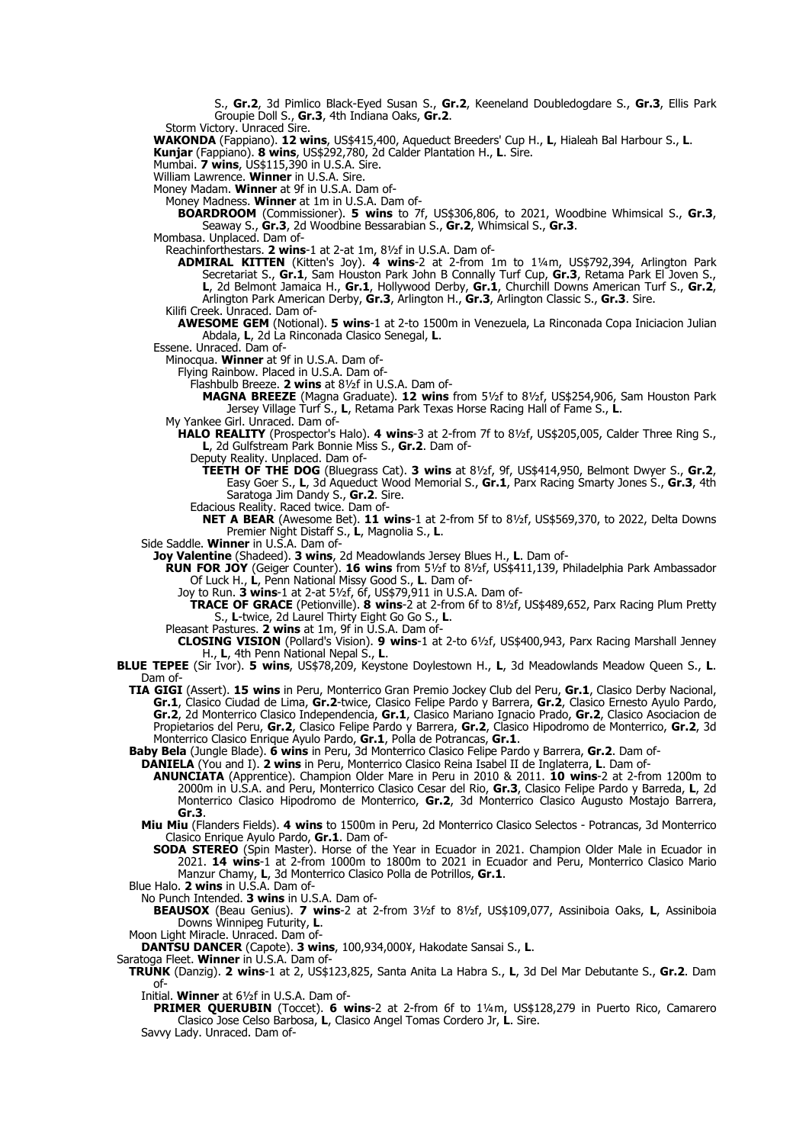S., **Gr.2**, 3d Pimlico Black-Eyed Susan S., **Gr.2**, Keeneland Doubledogdare S., **Gr.3**, Ellis Park Groupie Doll S., **Gr.3**, 4th Indiana Oaks, **Gr.2**.

Storm Victory. Unraced Sire.

**WAKONDA** (Fappiano). **12 wins**, US\$415,400, Aqueduct Breeders' Cup H., **L**, Hialeah Bal Harbour S., **L**.

**Kunjar** (Fappiano). **8 wins**, US\$292,780, 2d Calder Plantation H., **L**. Sire.

Mumbai. **7 wins**, US\$115,390 in U.S.A. Sire.

William Lawrence. **Winner** in U.S.A. Sire.

Money Madam. **Winner** at 9f in U.S.A. Dam of-

Money Madness. **Winner** at 1m in U.S.A. Dam of-

**BOARDROOM** (Commissioner). **5 wins** to 7f, US\$306,806, to 2021, Woodbine Whimsical S., **Gr.3**, Seaway S., **Gr.3**, 2d Woodbine Bessarabian S., **Gr.2**, Whimsical S., **Gr.3**.

Mombasa. Unplaced. Dam of-

Reachinforthestars. **2 wins**-1 at 2-at 1m, 8½f in U.S.A. Dam of-

**ADMIRAL KITTEN** (Kitten's Joy). **4 wins**-2 at 2-from 1m to 1¼m, US\$792,394, Arlington Park Secretariat S., **Gr.1**, Sam Houston Park John B Connally Turf Cup, **Gr.3**, Retama Park El Joven S., **L**, 2d Belmont Jamaica H., **Gr.1**, Hollywood Derby, **Gr.1**, Churchill Downs American Turf S., **Gr.2**, Arlington Park American Derby, **Gr.3**, Arlington H., **Gr.3**, Arlington Classic S., **Gr.3**. Sire.

Kilifi Creek. Unraced. Dam of-

**AWESOME GEM** (Notional). **5 wins**-1 at 2-to 1500m in Venezuela, La Rinconada Copa Iniciacion Julian Abdala, **L**, 2d La Rinconada Clasico Senegal, **L**.

Essene. Unraced. Dam of-

Minocqua. **Winner** at 9f in U.S.A. Dam of-

Flying Rainbow. Placed in U.S.A. Dam of-

Flashbulb Breeze. **2 wins** at 8½f in U.S.A. Dam of-

**MAGNA BREEZE** (Magna Graduate). **12 wins** from 5½f to 8½f, US\$254,906, Sam Houston Park Jersey Village Turf S., **L**, Retama Park Texas Horse Racing Hall of Fame S., **L**.

- My Yankee Girl. Unraced. Dam of-
	- **HALO REALITY** (Prospector's Halo). **4 wins**-3 at 2-from 7f to 8½f, US\$205,005, Calder Three Ring S., **L**, 2d Gulfstream Park Bonnie Miss S., **Gr.2**. Dam of-

Deputy Reality. Unplaced. Dam of-

- **TEETH OF THE DOG** (Bluegrass Cat). **3 wins** at 8½f, 9f, US\$414,950, Belmont Dwyer S., **Gr.2**, Easy Goer S., **L**, 3d Aqueduct Wood Memorial S., **Gr.1**, Parx Racing Smarty Jones S., **Gr.3**, 4th Saratoga Jim Dandy S., **Gr.2**. Sire.
- Edacious Reality. Raced twice. Dam of-

**NET A BEAR** (Awesome Bet). **11 wins**-1 at 2-from 5f to 8½f, US\$569,370, to 2022, Delta Downs Premier Night Distaff S., **L**, Magnolia S., **L**.

Side Saddle. **Winner** in U.S.A. Dam of-

**Joy Valentine** (Shadeed). **3 wins**, 2d Meadowlands Jersey Blues H., **L**. Dam of-

**RUN FOR JOY** (Geiger Counter). **16 wins** from 5½f to 8½f, US\$411,139, Philadelphia Park Ambassador Of Luck H., **L**, Penn National Missy Good S., **L**. Dam of-

Joy to Run. **3 wins**-1 at 2-at 5½f, 6f, US\$79,911 in U.S.A. Dam of-

**TRACE OF GRACE** (Petionville). **8 wins**-2 at 2-from 6f to 8½f, US\$489,652, Parx Racing Plum Pretty S., **L**-twice, 2d Laurel Thirty Eight Go Go S., **L**.

Pleasant Pastures. **2 wins** at 1m, 9f in U.S.A. Dam of-

**CLOSING VISION** (Pollard's Vision). **9 wins**-1 at 2-to 6½f, US\$400,943, Parx Racing Marshall Jenney H., **L**, 4th Penn National Nepal S., **L**.

**BLUE TEPEE** (Sir Ivor). **5 wins**, US\$78,209, Keystone Doylestown H., **L**, 3d Meadowlands Meadow Queen S., **L**. Dam of

**TIA GIGI** (Assert). **15 wins** in Peru, Monterrico Gran Premio Jockey Club del Peru, **Gr.1**, Clasico Derby Nacional, **Gr.1**, Clasico Ciudad de Lima, **Gr.2**-twice, Clasico Felipe Pardo y Barrera, **Gr.2**, Clasico Ernesto Ayulo Pardo, **Gr.2**, 2d Monterrico Clasico Independencia, **Gr.1**, Clasico Mariano Ignacio Prado, **Gr.2**, Clasico Asociacion de Propietarios del Peru, **Gr.2**, Clasico Felipe Pardo y Barrera, **Gr.2**, Clasico Hipodromo de Monterrico, **Gr.2**, 3d Monterrico Clasico Enrique Ayulo Pardo, **Gr.1**, Polla de Potrancas, **Gr.1**.

**Baby Bela** (Jungle Blade). **6 wins** in Peru, 3d Monterrico Clasico Felipe Pardo y Barrera, **Gr.2**. Dam of-

**DANIELA** (You and I). **2 wins** in Peru, Monterrico Clasico Reina Isabel II de Inglaterra, **L**. Dam of-

**ANUNCIATA** (Apprentice). Champion Older Mare in Peru in 2010 & 2011. **10 wins**-2 at 2-from 1200m to 2000m in U.S.A. and Peru, Monterrico Clasico Cesar del Rio, **Gr.3**, Clasico Felipe Pardo y Barreda, **L**, 2d Monterrico Clasico Hipodromo de Monterrico, **Gr.2**, 3d Monterrico Clasico Augusto Mostajo Barrera, **Gr.3**.

**Miu Miu** (Flanders Fields). **4 wins** to 1500m in Peru, 2d Monterrico Clasico Selectos - Potrancas, 3d Monterrico Clasico Enrique Ayulo Pardo, **Gr.1**. Dam of-

**SODA STEREO** (Spin Master). Horse of the Year in Ecuador in 2021. Champion Older Male in Ecuador in 2021. **14 wins**-1 at 2-from 1000m to 1800m to 2021 in Ecuador and Peru, Monterrico Clasico Mario Manzur Chamy, **L**, 3d Monterrico Clasico Polla de Potrillos, **Gr.1**.

Blue Halo. **2 wins** in U.S.A. Dam of-

No Punch Intended. **3 wins** in U.S.A. Dam of-

**BEAUSOX** (Beau Genius). **7 wins**-2 at 2-from 3½f to 8½f, US\$109,077, Assiniboia Oaks, **L**, Assiniboia Downs Winnipeg Futurity, L.

Moon Light Miracle. Unraced. Dam of-

**DANTSU DANCER** (Capote). **3 wins**, 100,934,000¥, Hakodate Sansai S., **L**.

Saratoga Fleet. **Winner** in U.S.A. Dam of-

**TRUNK** (Danzig). **2 wins**-1 at 2, US\$123,825, Santa Anita La Habra S., **L**, 3d Del Mar Debutante S., **Gr.2**. Dam of-

Initial. **Winner** at 6½f in U.S.A. Dam of-

**PRIMER QUERUBIN** (Toccet). **6 wins**-2 at 2-from 6f to 1¼m, US\$128,279 in Puerto Rico, Camarero Clasico Jose Celso Barbosa, **L**, Clasico Angel Tomas Cordero Jr, **L**. Sire.

Savvy Lady. Unraced. Dam of-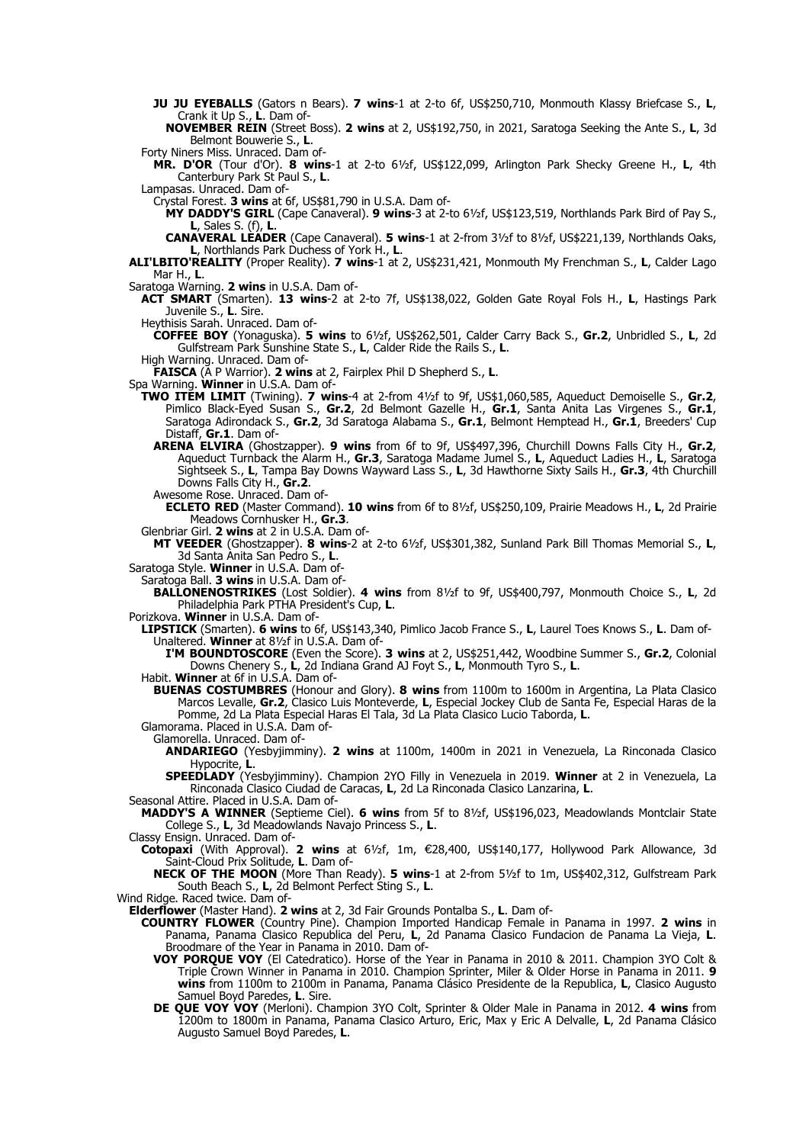**JU JU EYEBALLS** (Gators n Bears). **7 wins**-1 at 2-to 6f, US\$250,710, Monmouth Klassy Briefcase S., **L**, Crank it Up S., **L**. Dam of-

**NOVEMBER REIN** (Street Boss). **2 wins** at 2, US\$192,750, in 2021, Saratoga Seeking the Ante S., **L**, 3d Belmont Bouwerie S., **L**.

Forty Niners Miss. Unraced. Dam of-

**MR. D'OR** (Tour d'Or). **8 wins**-1 at 2-to 6½f, US\$122,099, Arlington Park Shecky Greene H., **L**, 4th Canterbury Park St Paul S., **L**.

Lampasas. Unraced. Dam of-

Crystal Forest. **3 wins** at 6f, US\$81,790 in U.S.A. Dam of-

**MY DADDY'S GIRL** (Cape Canaveral). **9 wins**-3 at 2-to 6½f, US\$123,519, Northlands Park Bird of Pay S., **L**, Sales S. (f), **L**.

**CANAVERAL LEADER** (Cape Canaveral). **5 wins**-1 at 2-from 3½f to 8½f, US\$221,139, Northlands Oaks, **L**, Northlands Park Duchess of York H., **L**.

**ALI'LBITO'REALITY** (Proper Reality). **7 wins**-1 at 2, US\$231,421, Monmouth My Frenchman S., **L**, Calder Lago Mar H., **L**.

Saratoga Warning. **2 wins** in U.S.A. Dam of-

**ACT SMART** (Smarten). **13 wins**-2 at 2-to 7f, US\$138,022, Golden Gate Royal Fols H., **L**, Hastings Park Juvenile S., **L**. Sire.

Heythisis Sarah. Unraced. Dam of-

**COFFEE BOY** (Yonaguska). **5 wins** to 6½f, US\$262,501, Calder Carry Back S., **Gr.2**, Unbridled S., **L**, 2d Gulfstream Park Sunshine State S., **L**, Calder Ride the Rails S., **L**.

High Warning. Unraced. Dam of-

**FAISCA** (A P Warrior). **2 wins** at 2, Fairplex Phil D Shepherd S., **L**.

Spa Warning. **Winner** in U.S.A. Dam of-

- **TWO ITEM LIMIT** (Twining). **7 wins**-4 at 2-from 4½f to 9f, US\$1,060,585, Aqueduct Demoiselle S., **Gr.2**, Pimlico Black-Eyed Susan S., **Gr.2**, 2d Belmont Gazelle H., **Gr.1**, Santa Anita Las Virgenes S., **Gr.1**, Saratoga Adirondack S., **Gr.2**, 3d Saratoga Alabama S., **Gr.1**, Belmont Hemptead H., **Gr.1**, Breeders' Cup Distaff, **Gr.1**. Dam of-
	- **ARENA ELVIRA** (Ghostzapper). **9 wins** from 6f to 9f, US\$497,396, Churchill Downs Falls City H., **Gr.2**, Aqueduct Turnback the Alarm H., **Gr.3**, Saratoga Madame Jumel S., **L**, Aqueduct Ladies H., **L**, Saratoga Sightseek S., **L**, Tampa Bay Downs Wayward Lass S., **L**, 3d Hawthorne Sixty Sails H., **Gr.3**, 4th Churchill Downs Falls City H., **Gr.2**.
	- Awesome Rose. Unraced. Dam of-
	- **ECLETO RED** (Master Command). **10 wins** from 6f to 8½f, US\$250,109, Prairie Meadows H., **L**, 2d Prairie Meadows Cornhusker H., **Gr.3**.

Glenbriar Girl. **2 wins** at 2 in U.S.A. Dam of-

**MT VEEDER** (Ghostzapper). **8 wins**-2 at 2-to 6½f, US\$301,382, Sunland Park Bill Thomas Memorial S., **L**, 3d Santa Anita San Pedro S., **L**.

Saratoga Style. **Winner** in U.S.A. Dam of-

Saratoga Ball. **3 wins** in U.S.A. Dam of-

**BALLONENOSTRIKES** (Lost Soldier). **4 wins** from 8½f to 9f, US\$400,797, Monmouth Choice S., **L**, 2d Philadelphia Park PTHA President's Cup, **L**.

Porizkova. **Winner** in U.S.A. Dam of-

**LIPSTICK** (Smarten). **6 wins** to 6f, US\$143,340, Pimlico Jacob France S., **L**, Laurel Toes Knows S., **L**. Dam of-Unaltered. **Winner** at 8½f in U.S.A. Dam of-

**I'M BOUNDTOSCORE** (Even the Score). **3 wins** at 2, US\$251,442, Woodbine Summer S., **Gr.2**, Colonial Downs Chenery S., **L**, 2d Indiana Grand AJ Foyt S., **L**, Monmouth Tyro S., **L**.

Habit. **Winner** at 6f in U.S.A. Dam of-

**BUENAS COSTUMBRES** (Honour and Glory). **8 wins** from 1100m to 1600m in Argentina, La Plata Clasico Marcos Levalle, **Gr.2**, Clasico Luis Monteverde, **L**, Especial Jockey Club de Santa Fe, Especial Haras de la Pomme, 2d La Plata Especial Haras El Tala, 3d La Plata Clasico Lucio Taborda, **L**.

Glamorama. Placed in U.S.A. Dam of-Glamorella. Unraced. Dam of-

**ANDARIEGO** (Yesbyjimminy). **2 wins** at 1100m, 1400m in 2021 in Venezuela, La Rinconada Clasico

Hypocrite, **L**.

**SPEEDLADY** (Yesbyjimminy). Champion 2YO Filly in Venezuela in 2019. **Winner** at 2 in Venezuela, La Rinconada Clasico Ciudad de Caracas, **L**, 2d La Rinconada Clasico Lanzarina, **L**.

Seasonal Attire. Placed in U.S.A. Dam of-

**MADDY'S A WINNER** (Septieme Ciel). **6 wins** from 5f to 8½f, US\$196,023, Meadowlands Montclair State College S., **L**, 3d Meadowlands Navajo Princess S., **L**.

Classy Ensign. Unraced. Dam of-

**Cotopaxi** (With Approval). **2 wins** at 6½f, 1m, €28,400, US\$140,177, Hollywood Park Allowance, 3d Saint-Cloud Prix Solitude, **L**. Dam of-

**NECK OF THE MOON** (More Than Ready). **5 wins**-1 at 2-from 5½f to 1m, US\$402,312, Gulfstream Park South Beach S., **L**, 2d Belmont Perfect Sting S., **L**.

Wind Ridge. Raced twice. Dam of-

**Elderflower** (Master Hand). **2 wins** at 2, 3d Fair Grounds Pontalba S., **L**. Dam of-

- **COUNTRY FLOWER** (Country Pine). Champion Imported Handicap Female in Panama in 1997. **2 wins** in Panama, Panama Clasico Republica del Peru, **L**, 2d Panama Clasico Fundacion de Panama La Vieja, **L**. Broodmare of the Year in Panama in 2010. Dam of-
	- **VOY PORQUE VOY** (El Catedratico). Horse of the Year in Panama in 2010 & 2011. Champion 3YO Colt & Triple Crown Winner in Panama in 2010. Champion Sprinter, Miler & Older Horse in Panama in 2011. **9 wins** from 1100m to 2100m in Panama, Panama Clásico Presidente de la Republica, **L**, Clasico Augusto Samuel Boyd Paredes, **L**. Sire.
	- **DE QUE VOY VOY** (Merloni). Champion 3YO Colt, Sprinter & Older Male in Panama in 2012. **4 wins** from 1200m to 1800m in Panama, Panama Clasico Arturo, Eric, Max y Eric A Delvalle, **L**, 2d Panama Clásico Augusto Samuel Boyd Paredes, **L**.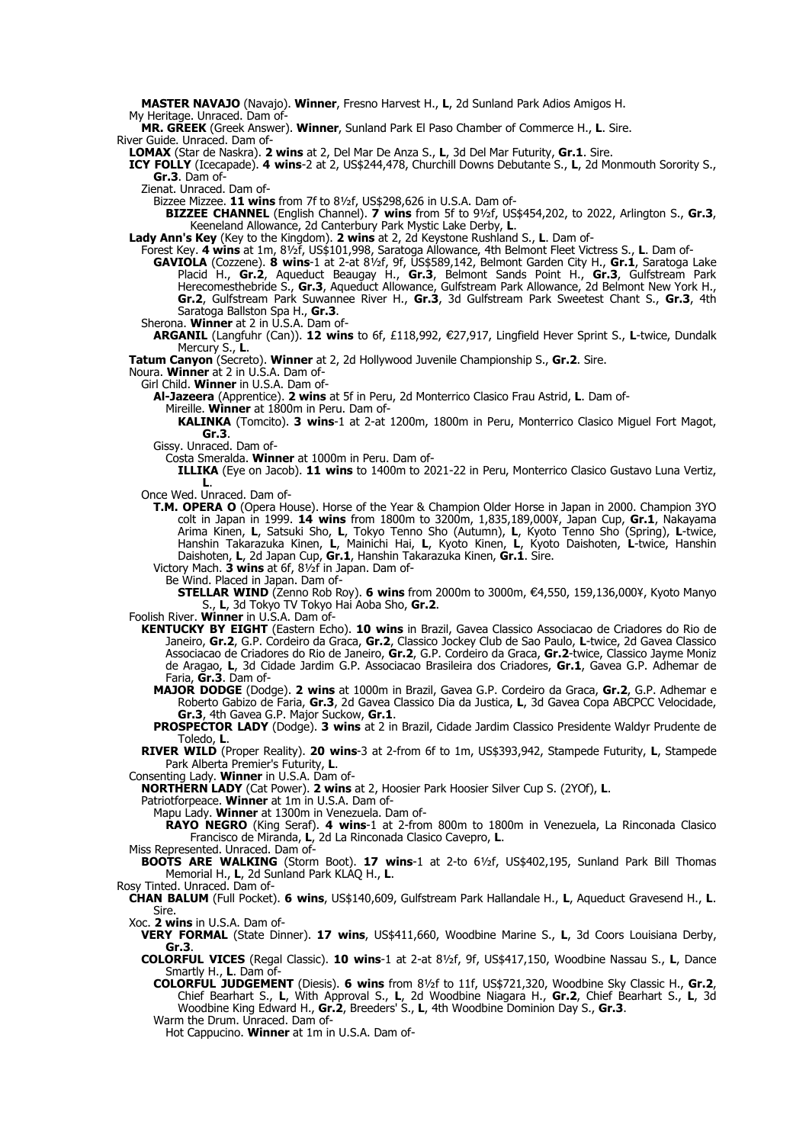**MASTER NAVAJO** (Navajo). **Winner**, Fresno Harvest H., **L**, 2d Sunland Park Adios Amigos H.

My Heritage. Unraced. Dam of-

**MR. GREEK** (Greek Answer). **Winner**, Sunland Park El Paso Chamber of Commerce H., **L**. Sire. River Guide. Unraced. Dam of-

**LOMAX** (Star de Naskra). **2 wins** at 2, Del Mar De Anza S., **L**, 3d Del Mar Futurity, **Gr.1**. Sire.

**ICY FOLLY** (Icecapade). **4 wins**-2 at 2, US\$244,478, Churchill Downs Debutante S., **L**, 2d Monmouth Sorority S., **Gr.3**. Dam of-

Zienat. Unraced. Dam of-

Bizzee Mizzee. **11 wins** from 7f to 8½f, US\$298,626 in U.S.A. Dam of-

**BIZZEE CHANNEL** (English Channel). **7 wins** from 5f to 9½f, US\$454,202, to 2022, Arlington S., **Gr.3**, Keeneland Allowance, 2d Canterbury Park Mystic Lake Derby, **L**.

**Lady Ann's Key** (Key to the Kingdom). **2 wins** at 2, 2d Keystone Rushland S., **L**. Dam of-

Forest Key. **4 wins** at 1m, 8½f, US\$101,998, Saratoga Allowance, 4th Belmont Fleet Victress S., **L**. Dam of-**GAVIOLA** (Cozzene). **8 wins**-1 at 2-at 8½f, 9f, US\$589,142, Belmont Garden City H., **Gr.1**, Saratoga Lake Placid H., **Gr.2**, Aqueduct Beaugay H., **Gr.3**, Belmont Sands Point H., **Gr.3**, Gulfstream Park Herecomesthebride S., **Gr.3**, Aqueduct Allowance, Gulfstream Park Allowance, 2d Belmont New York H., **Gr.2**, Gulfstream Park Suwannee River H., **Gr.3**, 3d Gulfstream Park Sweetest Chant S., **Gr.3**, 4th Saratoga Ballston Spa H., **Gr.3**.

Sherona. **Winner** at 2 in U.S.A. Dam of-

**ARGANIL** (Langfuhr (Can)). 12 wins to 6f, £118,992, €27,917, Lingfield Hever Sprint S., L-twice, Dundalk Mercury S., **L**.

**Tatum Canyon** (Secreto). **Winner** at 2, 2d Hollywood Juvenile Championship S., **Gr.2**. Sire.

Noura. **Winner** at 2 in U.S.A. Dam of-

Girl Child. **Winner** in U.S.A. Dam of-

**Al-Jazeera** (Apprentice). **2 wins** at 5f in Peru, 2d Monterrico Clasico Frau Astrid, **L**. Dam of-

Mireille. **Winner** at 1800m in Peru. Dam of-

**KALINKA** (Tomcito). **3 wins**-1 at 2-at 1200m, 1800m in Peru, Monterrico Clasico Miguel Fort Magot, **Gr.3**.

Gissy. Unraced. Dam of-

Costa Smeralda. **Winner** at 1000m in Peru. Dam of-

**ILLIKA** (Eye on Jacob). **11 wins** to 1400m to 2021-22 in Peru, Monterrico Clasico Gustavo Luna Vertiz, **L**.

Once Wed. Unraced. Dam of-

**T.M. OPERA O** (Opera House). Horse of the Year & Champion Older Horse in Japan in 2000. Champion 3YO colt in Japan in 1999. **14 wins** from 1800m to 3200m, 1,835,189,000¥, Japan Cup, **Gr.1**, Nakayama Arima Kinen, **L**, Satsuki Sho, **L**, Tokyo Tenno Sho (Autumn), **L**, Kyoto Tenno Sho (Spring), **L**-twice, Hanshin Takarazuka Kinen, **L**, Mainichi Hai, **L**, Kyoto Kinen, **L**, Kyoto Daishoten, **L**-twice, Hanshin Daishoten, **L**, 2d Japan Cup, **Gr.1**, Hanshin Takarazuka Kinen, **Gr.1**. Sire.

Victory Mach. **3 wins** at 6f, 8½f in Japan. Dam of-

Be Wind. Placed in Japan. Dam of-

**STELLAR WIND** (Zenno Rob Roy). 6 wins from 2000m to 3000m, €4,550, 159,136,000¥, Kyoto Manyo S., **L**, 3d Tokyo TV Tokyo Hai Aoba Sho, **Gr.2**.

Foolish River. **Winner** in U.S.A. Dam of-

- **KENTUCKY BY EIGHT** (Eastern Echo). **10 wins** in Brazil, Gavea Classico Associacao de Criadores do Rio de Janeiro, **Gr.2**, G.P. Cordeiro da Graca, **Gr.2**, Classico Jockey Club de Sao Paulo, **L**-twice, 2d Gavea Classico Associacao de Criadores do Rio de Janeiro, **Gr.2**, G.P. Cordeiro da Graca, **Gr.2**-twice, Classico Jayme Moniz de Aragao, **L**, 3d Cidade Jardim G.P. Associacao Brasileira dos Criadores, **Gr.1**, Gavea G.P. Adhemar de Faria, **Gr.3**. Dam of-
	- **MAJOR DODGE** (Dodge). **2 wins** at 1000m in Brazil, Gavea G.P. Cordeiro da Graca, **Gr.2**, G.P. Adhemar e Roberto Gabizo de Faria, **Gr.3**, 2d Gavea Classico Dia da Justica, **L**, 3d Gavea Copa ABCPCC Velocidade, **Gr.3**, 4th Gavea G.P. Major Suckow, **Gr.1**.

**PROSPECTOR LADY** (Dodge). **3 wins** at 2 in Brazil, Cidade Jardim Classico Presidente Waldyr Prudente de Toledo, **L**.

**RIVER WILD** (Proper Reality). **20 wins**-3 at 2-from 6f to 1m, US\$393,942, Stampede Futurity, **L**, Stampede Park Alberta Premier's Futurity, L.

Consenting Lady. **Winner** in U.S.A. Dam of-

**NORTHERN LADY** (Cat Power). **2 wins** at 2, Hoosier Park Hoosier Silver Cup S. (2YOf), **L**.

Patriotforpeace. Winner at 1m in U.S.A. Dam of-

Mapu Lady. **Winner** at 1300m in Venezuela. Dam of-

**RAYO NEGRO** (King Seraf). **4 wins**-1 at 2-from 800m to 1800m in Venezuela, La Rinconada Clasico Francisco de Miranda, **L**, 2d La Rinconada Clasico Cavepro, **L**.

Miss Represented. Unraced. Dam of-

**BOOTS ARE WALKING** (Storm Boot). **17 wins**-1 at 2-to 6½f, US\$402,195, Sunland Park Bill Thomas Memorial H., **L**, 2d Sunland Park KLAQ H., **L**.

Rosy Tinted. Unraced. Dam of-

**CHAN BALUM** (Full Pocket). **6 wins**, US\$140,609, Gulfstream Park Hallandale H., **L**, Aqueduct Gravesend H., **L**. Sire.

Xoc. **2 wins** in U.S.A. Dam of-

**VERY FORMAL** (State Dinner). **17 wins**, US\$411,660, Woodbine Marine S., **L**, 3d Coors Louisiana Derby, **Gr.3**.

**COLORFUL VICES** (Regal Classic). **10 wins**-1 at 2-at 8½f, 9f, US\$417,150, Woodbine Nassau S., **L**, Dance Smartly H., **L**. Dam of-

**COLORFUL JUDGEMENT** (Diesis). **6 wins** from 8½f to 11f, US\$721,320, Woodbine Sky Classic H., **Gr.2**, Chief Bearhart S., **L**, With Approval S., **L**, 2d Woodbine Niagara H., **Gr.2**, Chief Bearhart S., **L**, 3d Woodbine King Edward H., **Gr.2**, Breeders' S., **L**, 4th Woodbine Dominion Day S., **Gr.3**.

Warm the Drum. Unraced. Dam of-

Hot Cappucino. **Winner** at 1m in U.S.A. Dam of-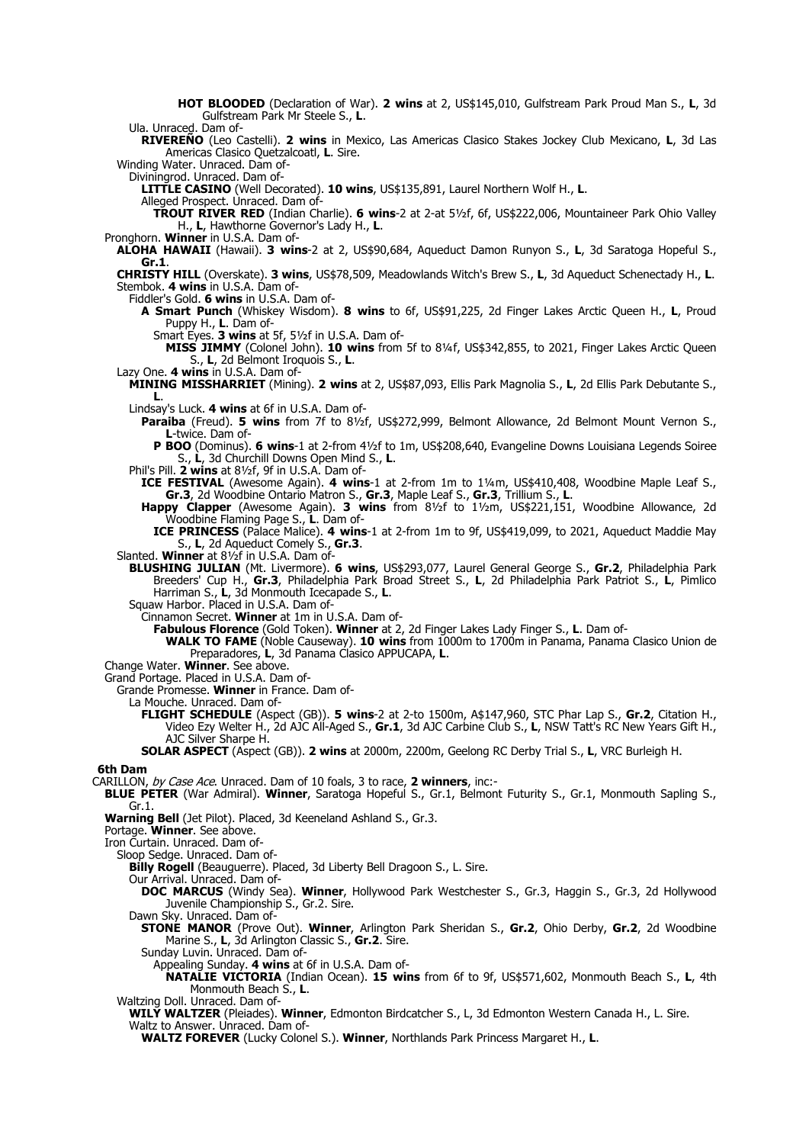**HOT BLOODED** (Declaration of War). **2 wins** at 2, US\$145,010, Gulfstream Park Proud Man S., **L**, 3d Gulfstream Park Mr Steele S., **L**.

Ula. Unraced. Dam of-

**RIVEREÑO** (Leo Castelli). **2 wins** in Mexico, Las Americas Clasico Stakes Jockey Club Mexicano, **L**, 3d Las Americas Clasico Quetzalcoatl, **L**. Sire.

Winding Water. Unraced. Dam of-

Diviningrod. Unraced. Dam of-

**LITTLE CASINO** (Well Decorated). **10 wins**, US\$135,891, Laurel Northern Wolf H., **L**.

Alleged Prospect. Unraced. Dam of-

**TROUT RIVER RED** (Indian Charlie). **6 wins**-2 at 2-at 5½f, 6f, US\$222,006, Mountaineer Park Ohio Valley H., **L**, Hawthorne Governor's Lady H., **L**.

Pronghorn. **Winner** in U.S.A. Dam of-

**ALOHA HAWAII** (Hawaii). **3 wins**-2 at 2, US\$90,684, Aqueduct Damon Runyon S., **L**, 3d Saratoga Hopeful S., **Gr.1**.

**CHRISTY HILL** (Overskate). **3 wins**, US\$78,509, Meadowlands Witch's Brew S., **L**, 3d Aqueduct Schenectady H., **L**. Stembok. **4 wins** in U.S.A. Dam of-

Fiddler's Gold. **6 wins** in U.S.A. Dam of-

**A Smart Punch** (Whiskey Wisdom). **8 wins** to 6f, US\$91,225, 2d Finger Lakes Arctic Queen H., **L**, Proud Puppy H., **L**. Dam of-

Smart Eyes. **3 wins** at 5f, 5½f in U.S.A. Dam of-

**MISS JIMMY** (Colonel John). **10 wins** from 5f to 8¼f, US\$342,855, to 2021, Finger Lakes Arctic Queen S., **L**, 2d Belmont Iroquois S., **L**.

Lazy One. **4 wins** in U.S.A. Dam of-

**MINING MISSHARRIET** (Mining). **2 wins** at 2, US\$87,093, Ellis Park Magnolia S., **L**, 2d Ellis Park Debutante S., **L**.

Lindsay's Luck. **4 wins** at 6f in U.S.A. Dam of-

**Paraiba** (Freud). **5 wins** from 7f to 8½f, US\$272,999, Belmont Allowance, 2d Belmont Mount Vernon S., **L**-twice. Dam of-

**P BOO** (Dominus). **6 wins**-1 at 2-from 4½f to 1m, US\$208,640, Evangeline Downs Louisiana Legends Soiree S., **L**, 3d Churchill Downs Open Mind S., **L**.

Phil's Pill. **2 wins** at 8½f, 9f in U.S.A. Dam of-

**ICE FESTIVAL** (Awesome Again). **4 wins**-1 at 2-from 1m to 1¼m, US\$410,408, Woodbine Maple Leaf S., **Gr.3**, 2d Woodbine Ontario Matron S., **Gr.3**, Maple Leaf S., **Gr.3**, Trillium S., **L**.

**Happy Clapper** (Awesome Again). **3 wins** from 8½f to 1½m, US\$221,151, Woodbine Allowance, 2d Woodbine Flaming Page S., **L**. Dam of-

**ICE PRINCESS** (Palace Malice). **4 wins**-1 at 2-from 1m to 9f, US\$419,099, to 2021, Aqueduct Maddie May S., **L**, 2d Aqueduct Comely S., **Gr.3**.

Slanted. **Winner** at 8½f in U.S.A. Dam of-

**BLUSHING JULIAN** (Mt. Livermore). **6 wins**, US\$293,077, Laurel General George S., **Gr.2**, Philadelphia Park Breeders' Cup H., **Gr.3**, Philadelphia Park Broad Street S., **L**, 2d Philadelphia Park Patriot S., **L**, Pimlico Harriman S., **L**, 3d Monmouth Icecapade S., **L**.

Squaw Harbor. Placed in U.S.A. Dam of-

Cinnamon Secret. **Winner** at 1m in U.S.A. Dam of-

**Fabulous Florence** (Gold Token). **Winner** at 2, 2d Finger Lakes Lady Finger S., **L**. Dam of-

**WALK TO FAME** (Noble Causeway). **10 wins** from 1000m to 1700m in Panama, Panama Clasico Union de Preparadores, **L**, 3d Panama Clasico APPUCAPA, **L**.

Change Water. **Winner**. See above.

Grand Portage. Placed in U.S.A. Dam of-

Grande Promesse. **Winner** in France. Dam of-

La Mouche. Unraced. Dam of-

**FLIGHT SCHEDULE** (Aspect (GB)). **5 wins**-2 at 2-to 1500m, A\$147,960, STC Phar Lap S., **Gr.2**, Citation H., Video Ezy Welter H., 2d AJC All-Aged S., **Gr.1**, 3d AJC Carbine Club S., **L**, NSW Tatt's RC New Years Gift H., AJC Silver Sharpe H.

**SOLAR ASPECT** (Aspect (GB)). **2 wins** at 2000m, 2200m, Geelong RC Derby Trial S., **L**, VRC Burleigh H.

## **6th Dam**

CARILLON, by Case Ace. Unraced. Dam of 10 foals, 3 to race, **2 winners**, inc:-

**BLUE PETER** (War Admiral). **Winner**, Saratoga Hopeful S., Gr.1, Belmont Futurity S., Gr.1, Monmouth Sapling S., Gr.1.

**Warning Bell** (Jet Pilot). Placed, 3d Keeneland Ashland S., Gr.3.

Portage. **Winner**. See above.

Iron Curtain. Unraced. Dam of-

Sloop Sedge. Unraced. Dam of-

Billy Rogell (Beauguerre). Placed, 3d Liberty Bell Dragoon S., L. Sire.

Our Arrival. Unraced. Dam of-

**DOC MARCUS** (Windy Sea). **Winner**, Hollywood Park Westchester S., Gr.3, Haggin S., Gr.3, 2d Hollywood Juvenile Championship S., Gr.2. Sire.

Dawn Sky. Unraced. Dam of-

**STONE MANOR** (Prove Out). **Winner**, Arlington Park Sheridan S., **Gr.2**, Ohio Derby, **Gr.2**, 2d Woodbine Marine S., L, 3d Arlington Classic S., Gr.2. Sire.

Sunday Luvin. Unraced. Dam of-

Appealing Sunday. **4 wins** at 6f in U.S.A. Dam of-

**NATALIE VICTORIA** (Indian Ocean). **15 wins** from 6f to 9f, US\$571,602, Monmouth Beach S., **L**, 4th Monmouth Beach S., **L**.

Waltzing Doll. Unraced. Dam of-

**WILY WALTZER** (Pleiades). **Winner**, Edmonton Birdcatcher S., L, 3d Edmonton Western Canada H., L. Sire.

Waltz to Answer. Unraced. Dam of-

**WALTZ FOREVER** (Lucky Colonel S.). **Winner**, Northlands Park Princess Margaret H., **L**.